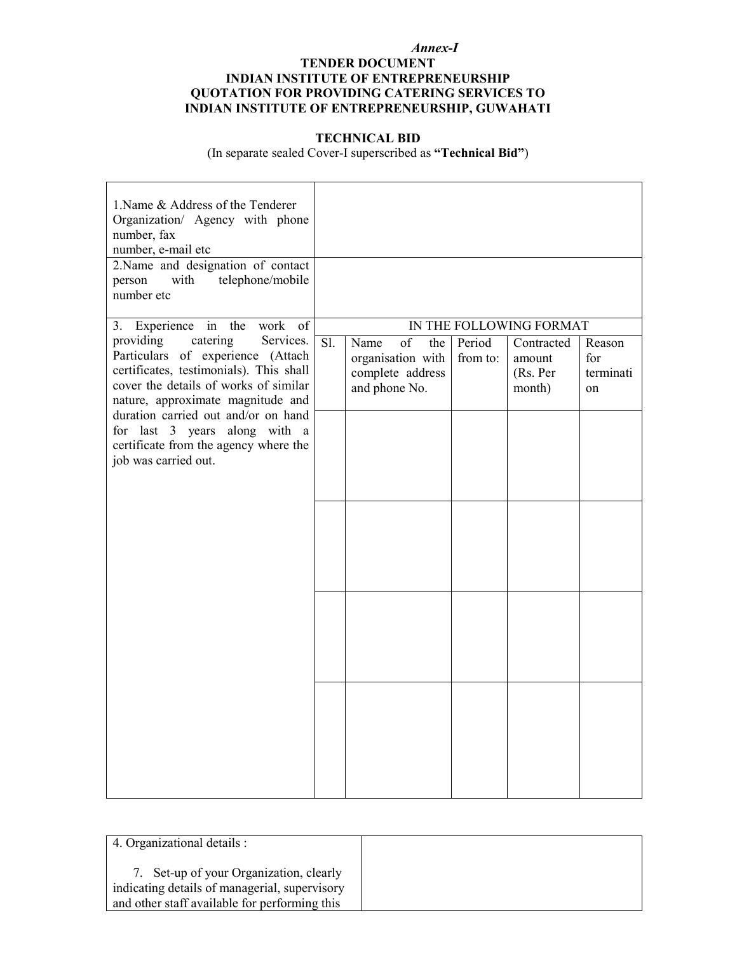#### *Annex-I*

### **TENDER DOCUMENT INDIAN INSTITUTE OF ENTREPRENEURSHIP QUOTATION FOR PROVIDING CATERING SERVICES TO INDIAN INSTITUTE OF ENTREPRENEURSHIP, GUWAHATI**

### **TECHNICAL BID**

(In separate sealed Cover-I superscribed as **"Technical Bid"**)

| 1. Name & Address of the Tenderer<br>Organization/ Agency with phone<br>number, fax<br>number, e-mail etc<br>2.Name and designation of contact<br>telephone/mobile<br>with<br>person<br>number etc                                      |     |                                                                             |                    |                                            |                                        |
|-----------------------------------------------------------------------------------------------------------------------------------------------------------------------------------------------------------------------------------------|-----|-----------------------------------------------------------------------------|--------------------|--------------------------------------------|----------------------------------------|
| 3. Experience in the work<br><sub>of</sub>                                                                                                                                                                                              |     |                                                                             |                    | IN THE FOLLOWING FORMAT                    |                                        |
| providing<br>catering<br>Services.<br>Particulars of experience (Attach<br>certificates, testimonials). This shall<br>cover the details of works of similar<br>nature, approximate magnitude and<br>duration carried out and/or on hand | Sl. | of<br>the<br>Name<br>organisation with<br>complete address<br>and phone No. | Period<br>from to: | Contracted<br>amount<br>(Rs. Per<br>month) | Reason<br>for<br>terminati<br>$\alpha$ |
| for last 3 years along with a<br>certificate from the agency where the<br>job was carried out.                                                                                                                                          |     |                                                                             |                    |                                            |                                        |
|                                                                                                                                                                                                                                         |     |                                                                             |                    |                                            |                                        |
|                                                                                                                                                                                                                                         |     |                                                                             |                    |                                            |                                        |
|                                                                                                                                                                                                                                         |     |                                                                             |                    |                                            |                                        |

| 4. Organizational details :                                                                                                            |  |
|----------------------------------------------------------------------------------------------------------------------------------------|--|
| Set-up of your Organization, clearly<br>indicating details of managerial, supervisory<br>and other staff available for performing this |  |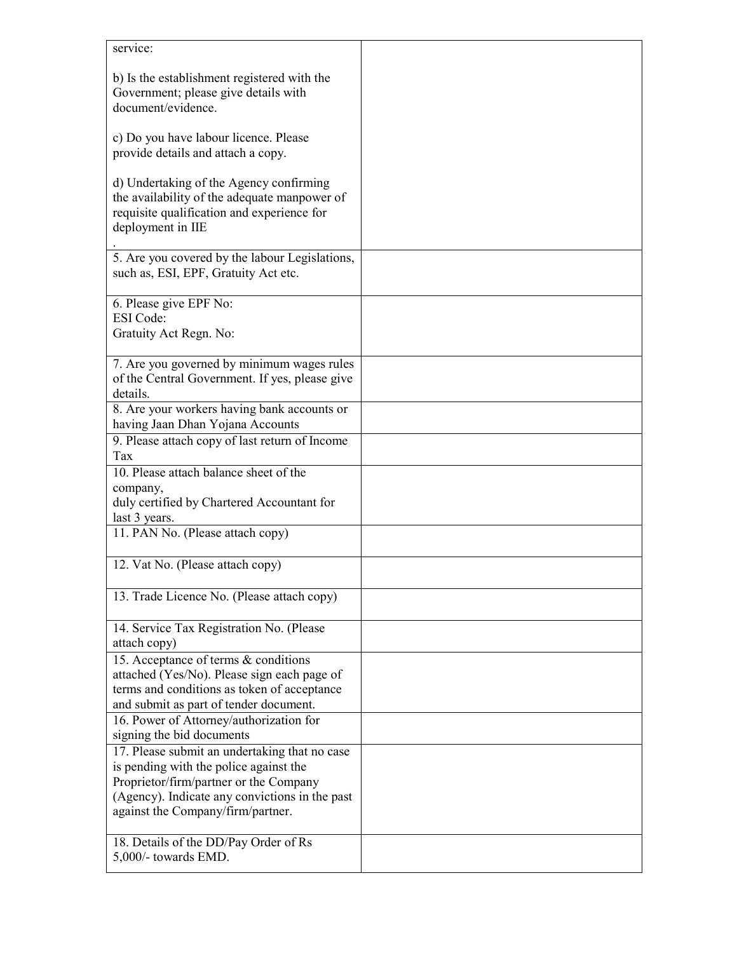| service:                                                                                                                                                                     |  |
|------------------------------------------------------------------------------------------------------------------------------------------------------------------------------|--|
| b) Is the establishment registered with the<br>Government; please give details with<br>document/evidence.                                                                    |  |
| c) Do you have labour licence. Please<br>provide details and attach a copy.                                                                                                  |  |
| d) Undertaking of the Agency confirming<br>the availability of the adequate manpower of<br>requisite qualification and experience for<br>deployment in IIE                   |  |
| 5. Are you covered by the labour Legislations,<br>such as, ESI, EPF, Gratuity Act etc.                                                                                       |  |
| 6. Please give EPF No:                                                                                                                                                       |  |
| <b>ESI</b> Code:<br>Gratuity Act Regn. No:                                                                                                                                   |  |
| 7. Are you governed by minimum wages rules<br>of the Central Government. If yes, please give<br>details.                                                                     |  |
| 8. Are your workers having bank accounts or<br>having Jaan Dhan Yojana Accounts<br>9. Please attach copy of last return of Income                                            |  |
| Tax                                                                                                                                                                          |  |
| 10. Please attach balance sheet of the                                                                                                                                       |  |
| company,<br>duly certified by Chartered Accountant for<br>last 3 years.                                                                                                      |  |
| 11. PAN No. (Please attach copy)                                                                                                                                             |  |
| 12. Vat No. (Please attach copy)                                                                                                                                             |  |
| 13. Trade Licence No. (Please attach copy)                                                                                                                                   |  |
| 14. Service Tax Registration No. (Please)<br>attach copy)                                                                                                                    |  |
| 15. Acceptance of terms & conditions<br>attached (Yes/No). Please sign each page of<br>terms and conditions as token of acceptance<br>and submit as part of tender document. |  |
| 16. Power of Attorney/authorization for<br>signing the bid documents                                                                                                         |  |
| 17. Please submit an undertaking that no case                                                                                                                                |  |
| is pending with the police against the                                                                                                                                       |  |
| Proprietor/firm/partner or the Company                                                                                                                                       |  |
| (Agency). Indicate any convictions in the past<br>against the Company/firm/partner.                                                                                          |  |
| 18. Details of the DD/Pay Order of Rs<br>5,000/- towards EMD.                                                                                                                |  |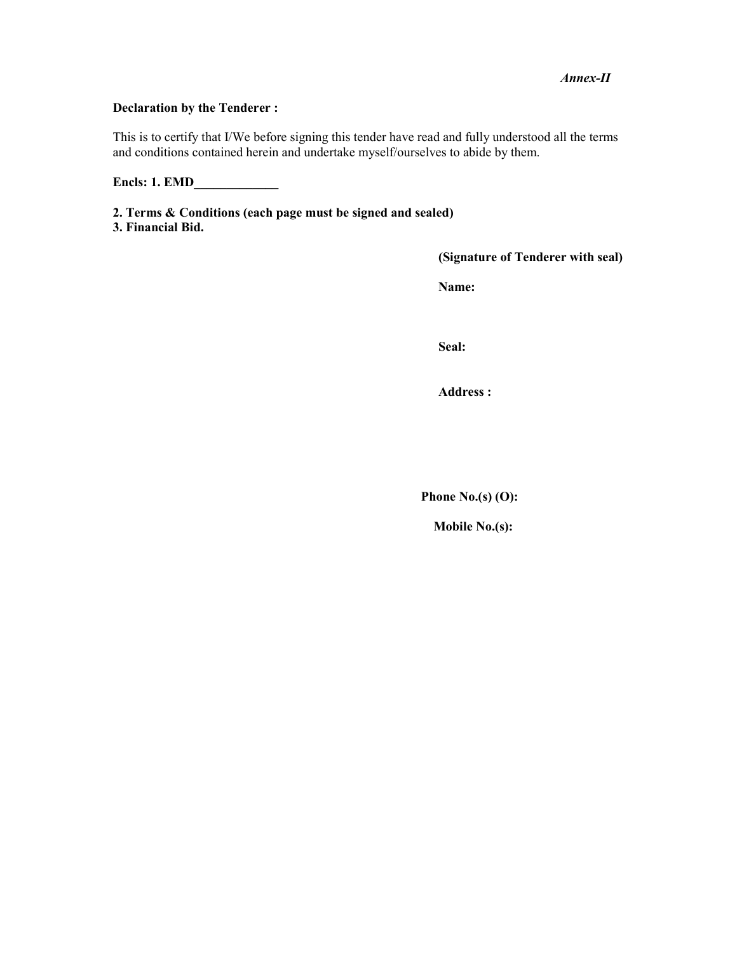### *Annex-II*

## **Declaration by the Tenderer :**

This is to certify that I/We before signing this tender have read and fully understood all the terms and conditions contained herein and undertake myself/ourselves to abide by them.

**Encls: 1. EMD\_\_\_\_\_\_\_\_\_\_\_\_\_** 

**2. Terms & Conditions (each page must be signed and sealed)** 

**3. Financial Bid.** 

**(Signature of Tenderer with seal)** 

**Name:** 

**Seal:** 

**Address :** 

**Phone No.(s) (O):** 

 **Mobile No.(s):**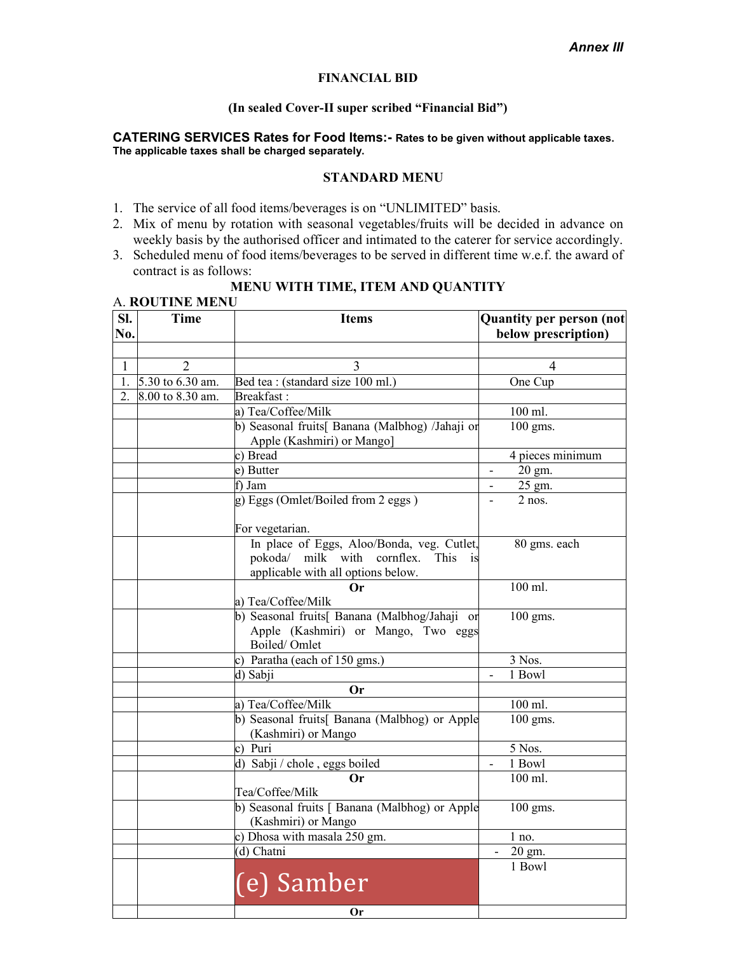### **FINANCIAL BID**

#### **(In sealed Cover-II super scribed "Financial Bid")**

#### **CATERING SERVICES Rates for Food Items:- Rates to be given without applicable taxes. The applicable taxes shall be charged separately.**

#### **STANDARD MENU**

- 1. The service of all food items/beverages is on "UNLIMITED" basis.
- 2. Mix of menu by rotation with seasonal vegetables/fruits will be decided in advance on weekly basis by the authorised officer and intimated to the caterer for service accordingly.
- 3. Scheduled menu of food items/beverages to be served in different time w.e.f. the award of contract is as follows:

#### **MENU WITH TIME, ITEM AND QUANTITY** A. **ROUTINE MENU**

| SI.<br>No.   | <b>Time</b>      | <b>Items</b>                                                                                                                                        | <b>Quantity per person (not</b><br>below prescription) |
|--------------|------------------|-----------------------------------------------------------------------------------------------------------------------------------------------------|--------------------------------------------------------|
| $\mathbf{1}$ | $\overline{2}$   | 3                                                                                                                                                   | 4                                                      |
| 1.           | 5.30 to 6.30 am. | Bed tea : (standard size 100 ml.)                                                                                                                   | One Cup                                                |
| 2.           | 8.00 to 8.30 am. | Breakfast:                                                                                                                                          |                                                        |
|              |                  | a) Tea/Coffee/Milk                                                                                                                                  | 100 ml.                                                |
|              |                  | b) Seasonal fruits[ Banana (Malbhog) /Jahaji or                                                                                                     | 100 gms.                                               |
|              |                  | Apple (Kashmiri) or Mango]                                                                                                                          |                                                        |
|              |                  | c) Bread                                                                                                                                            | 4 pieces minimum                                       |
|              |                  | e) Butter                                                                                                                                           | 20 gm.                                                 |
|              |                  | f) Jam                                                                                                                                              | 25 gm.                                                 |
|              |                  | g) Eggs (Omlet/Boiled from 2 eggs)                                                                                                                  | $2$ nos.                                               |
|              |                  | For vegetarian.                                                                                                                                     |                                                        |
|              |                  | In place of Eggs, Aloo/Bonda, veg. Cutlet,<br>pokoda/ milk with cornflex.<br><b>This</b><br>$\overline{1}$ is<br>applicable with all options below. | 80 gms. each                                           |
|              |                  | Оr<br>a) Tea/Coffee/Milk                                                                                                                            | 100 ml.                                                |
|              |                  | b) Seasonal fruits[ Banana (Malbhog/Jahaji or<br>Apple (Kashmiri) or Mango, Two eggs<br>Boiled/Omlet                                                | 100 gms.                                               |
|              |                  | c) Paratha (each of 150 gms.)                                                                                                                       | 3 Nos.                                                 |
|              |                  | d) Sabji                                                                                                                                            | 1 Bowl                                                 |
|              |                  | Or                                                                                                                                                  |                                                        |
|              |                  | a) Tea/Coffee/Milk                                                                                                                                  | 100 ml.                                                |
|              |                  | b) Seasonal fruits[ Banana (Malbhog) or Apple<br>(Kashmiri) or Mango                                                                                | $100$ gms.                                             |
|              |                  | c) Puri                                                                                                                                             | 5 Nos.                                                 |
|              |                  | d) Sabji / chole, eggs boiled                                                                                                                       | 1 Bowl                                                 |
|              |                  | <b>Or</b><br>Tea/Coffee/Milk                                                                                                                        | 100 ml.                                                |
|              |                  | b) Seasonal fruits [ Banana (Malbhog) or Apple<br>(Kashmiri) or Mango                                                                               | 100 gms.                                               |
|              |                  | c) Dhosa with masala 250 gm.                                                                                                                        | 1 no.                                                  |
|              |                  | (d) Chatni                                                                                                                                          | 20 gm.                                                 |
|              |                  | (e) Samber                                                                                                                                          | 1 Bowl                                                 |
|              |                  | <b>Or</b>                                                                                                                                           |                                                        |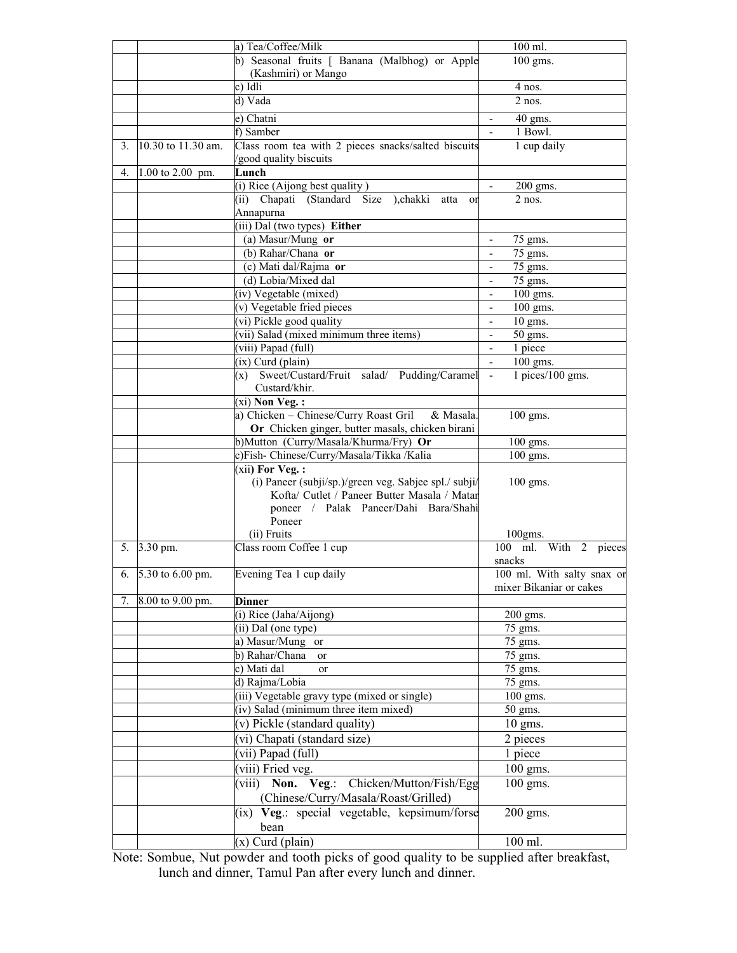|    |                    | a) Tea/Coffee/Milk                                                    | 100 ml.                                  |
|----|--------------------|-----------------------------------------------------------------------|------------------------------------------|
|    |                    | b) Seasonal fruits [ Banana (Malbhog) or Apple<br>(Kashmiri) or Mango | 100 gms.                                 |
|    |                    | c) Idli                                                               | 4 nos.                                   |
|    |                    | d) Vada                                                               | $2$ nos.                                 |
|    |                    |                                                                       |                                          |
|    |                    | e) Chatni<br>f) Samber                                                | $40$ gms.<br>1 Bowl.                     |
|    |                    |                                                                       |                                          |
| 3. | 10.30 to 11.30 am. | Class room tea with 2 pieces snacks/salted biscuits                   | 1 cup daily                              |
| 4. | 1.00 to 2.00 pm.   | good quality biscuits<br>Lunch                                        |                                          |
|    |                    | (i) Rice (Aijong best quality)                                        | $200$ gms.                               |
|    |                    | (ii) Chapati (Standard Size ), chakki<br>atta<br><sub>or</sub>        | $2$ nos.                                 |
|    |                    | Annapurna                                                             |                                          |
|    |                    | (iii) Dal (two types) Either                                          |                                          |
|    |                    | (a) Masur/Mung or                                                     | 75 gms.                                  |
|    |                    | (b) Rahar/Chana or                                                    | 75 gms.                                  |
|    |                    | (c) Mati dal/Rajma or                                                 | 75 gms.<br>$\blacksquare$                |
|    |                    | (d) Lobia/Mixed dal                                                   | 75 gms.<br>$\qquad \qquad \blacksquare$  |
|    |                    | (iv) Vegetable (mixed)                                                | 100 gms.<br>$\qquad \qquad \blacksquare$ |
|    |                    | (v) Vegetable fried pieces                                            | 100 gms.                                 |
|    |                    | $\overline{(vi)$ Pickle good quality                                  | $10$ gms.                                |
|    |                    | (vii) Salad (mixed minimum three items)                               | 50 gms.                                  |
|    |                    | (viii) Papad (full)                                                   | 1 piece                                  |
|    |                    | (ix) Curd (plain)                                                     | 100 gms.                                 |
|    |                    | (x) Sweet/Custard/Fruit salad/ Pudding/Caramel                        | $1$ pices/ $100$ gms.                    |
|    |                    | Custard/khir.                                                         |                                          |
|    |                    | $(xi)$ Non Veg.:                                                      |                                          |
|    |                    | a) Chicken - Chinese/Curry Roast Gril & Masala.                       | 100 gms.                                 |
|    |                    | Or Chicken ginger, butter masals, chicken birani                      |                                          |
|    |                    | b)Mutton (Curry/Masala/Khurma/Fry) Or                                 | 100 gms.                                 |
|    |                    | c)Fish- Chinese/Curry/Masala/Tikka /Kalia                             | 100 gms.                                 |
|    |                    | (xii) For Veg.:                                                       |                                          |
|    |                    | (i) Paneer (subji/sp.)/green veg. Sabjee spl./ subji/                 | 100 gms.                                 |
|    |                    | Kofta/ Cutlet / Paneer Butter Masala / Matar                          |                                          |
|    |                    | poneer / Palak Paneer/Dahi Bara/Shahi                                 |                                          |
|    |                    | Poneer                                                                |                                          |
|    |                    | (ii) Fruits                                                           | $100$ gms.                               |
|    | 5. 3.30 pm.        | Class room Coffee 1 cup                                               | ml. With 2 pieces<br>100                 |
|    |                    |                                                                       | snacks                                   |
| 6. | 5.30 to 6.00 pm.   | Evening Tea 1 cup daily                                               | 100 ml. With salty snax or               |
|    |                    |                                                                       | mixer Bikaniar or cakes                  |
| 7. | 8.00 to 9.00 pm.   | <b>Dinner</b>                                                         |                                          |
|    |                    | (i) Rice (Jaha/Aijong)                                                | 200 gms.                                 |
|    |                    | (ii) Dal (one type)                                                   | 75 gms.                                  |
|    |                    | a) Masur/Mung or                                                      | 75 gms.                                  |
|    |                    | b) Rahar/Chana<br><sub>or</sub>                                       | 75 gms.                                  |
|    |                    | c) Mati dal<br>or                                                     | 75 gms.                                  |
|    |                    | d) Rajma/Lobia                                                        | 75 gms.                                  |
|    |                    | (iii) Vegetable gravy type (mixed or single)                          | 100 gms.                                 |
|    |                    | (iv) Salad (minimum three item mixed)                                 | 50 gms.                                  |
|    |                    | (v) Pickle (standard quality)                                         | $10$ gms.                                |
|    |                    | (vi) Chapati (standard size)                                          | 2 pieces                                 |
|    |                    | (vii) Papad (full)                                                    | 1 piece                                  |
|    |                    | (viii) Fried veg.                                                     | 100 gms.                                 |
|    |                    | (viii) Non. Veg.: Chicken/Mutton/Fish/Egg                             | $100$ gms.                               |
|    |                    | (Chinese/Curry/Masala/Roast/Grilled)                                  |                                          |
|    |                    | (ix) Veg.: special vegetable, kepsimum/forse                          | 200 gms.                                 |
|    |                    | bean                                                                  |                                          |
|    |                    | $(x)$ Curd (plain)                                                    | 100 ml.                                  |

Note: Sombue, Nut powder and tooth picks of good quality to be supplied after breakfast, lunch and dinner, Tamul Pan after every lunch and dinner.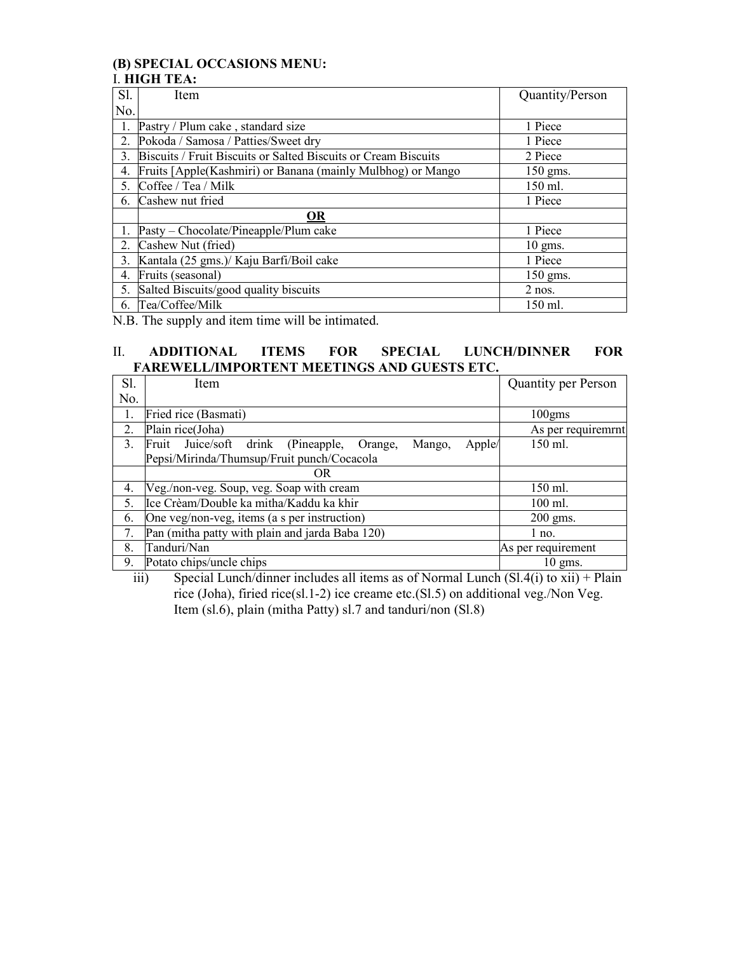### **(B) SPECIAL OCCASIONS MENU:**  I. **HIGH TEA:**

| S1.            | Item                                                           | Quantity/Person |
|----------------|----------------------------------------------------------------|-----------------|
| No.            |                                                                |                 |
| 1.             | Pastry / Plum cake, standard size                              | 1 Piece         |
| 2.             | Pokoda / Samosa / Patties/Sweet dry                            | 1 Piece         |
| 3.             | Biscuits / Fruit Biscuits or Salted Biscuits or Cream Biscuits | 2 Piece         |
| 4.             | Fruits [Apple(Kashmiri) or Banana (mainly Mulbhog) or Mango    | 150 gms.        |
| 5 <sub>1</sub> | Coffee / Tea / Milk                                            | 150 ml.         |
| 6.             | Cashew nut fried                                               | 1 Piece         |
|                | <b>OR</b>                                                      |                 |
|                | Pasty – Chocolate/Pineapple/Plum cake                          | 1 Piece         |
| 2.             | Cashew Nut (fried)                                             | $10$ gms.       |
| 3.             | Kantala (25 gms.)/ Kaju Barfi/Boil cake                        | 1 Piece         |
| 4.             | Fruits (seasonal)                                              | $150$ gms.      |
| 5.             | Salted Biscuits/good quality biscuits                          | $2$ nos.        |
| 6.             | Tea/Coffee/Milk                                                | 150 ml.         |

N.B. The supply and item time will be intimated.

### II. **ADDITIONAL ITEMS FOR SPECIAL LUNCH/DINNER FOR FAREWELL/IMPORTENT MEETINGS AND GUESTS ETC.**

| Sl.            | Item                                                              | <b>Quantity per Person</b> |
|----------------|-------------------------------------------------------------------|----------------------------|
| No.            |                                                                   |                            |
| 1.             | Fried rice (Basmati)                                              | $100$ gms                  |
| 2.             | Plain rice(Joha)                                                  | As per requirement         |
| 3 <sub>1</sub> | Fruit Juice/soft drink (Pineapple,<br>Apple/<br>Mango,<br>Orange, | 150 ml.                    |
|                | Pepsi/Mirinda/Thumsup/Fruit punch/Cocacola                        |                            |
|                | 0 <sub>R</sub>                                                    |                            |
| 4.             | Veg./non-veg. Soup, veg. Soap with cream                          | 150 ml.                    |
| 5.             | Ice Crèam/Double ka mitha/Kaddu ka khir                           | $100$ ml.                  |
| 6.             | One veg/non-veg, items (a s per instruction)                      | $200$ gms.                 |
| 7.             | Pan (mitha patty with plain and jarda Baba 120)                   | $1$ no.                    |
| 8.             | Tanduri/Nan                                                       | As per requirement         |
| 9.             | Potato chips/uncle chips                                          | $10 \text{ gms}$ .         |

iii) Special Lunch/dinner includes all items as of Normal Lunch (Sl.4(i) to xii) + Plain rice (Joha), firied rice(sl.1-2) ice creame etc.(Sl.5) on additional veg./Non Veg. Item (sl.6), plain (mitha Patty) sl.7 and tanduri/non (Sl.8)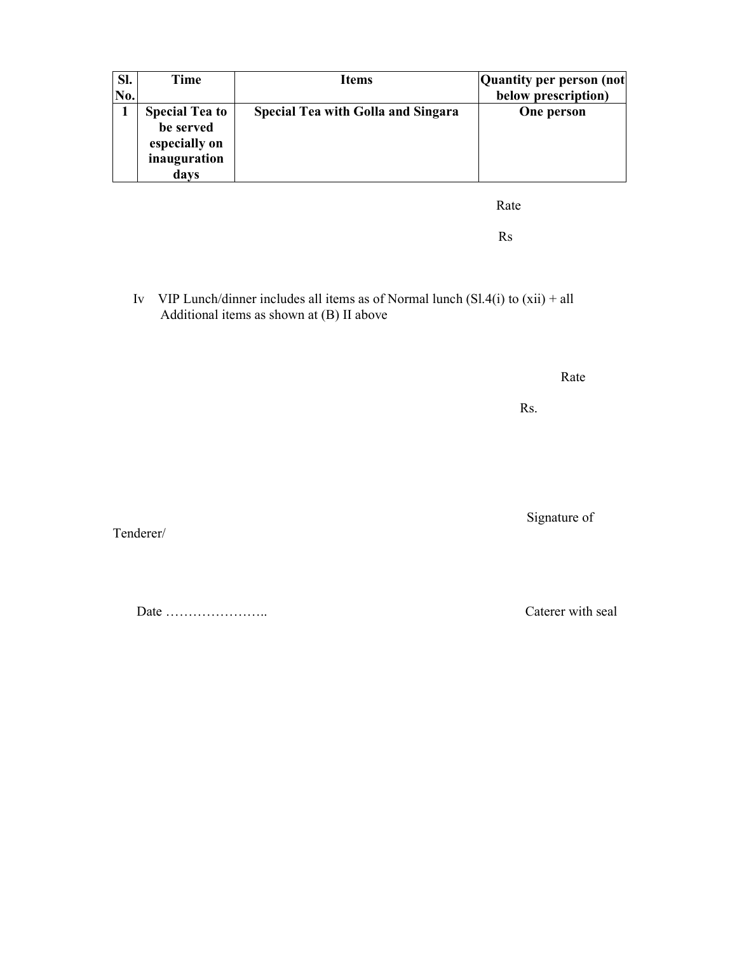| SI. | Time                                                                        | <b>Items</b>                              | Quantity per person (not |
|-----|-----------------------------------------------------------------------------|-------------------------------------------|--------------------------|
| No. |                                                                             |                                           | below prescription)      |
|     | <b>Special Tea to</b><br>be served<br>especially on<br>inauguration<br>days | <b>Special Tea with Golla and Singara</b> | One person               |

**Rate** 

Rs

Iv VIP Lunch/dinner includes all items as of Normal lunch  $(Sl.4(i)$  to  $(xii) + all$ Additional items as shown at (B) II above

**Rate** 

Rs.

Signature of

Tenderer/

Date ………………….. Caterer with seal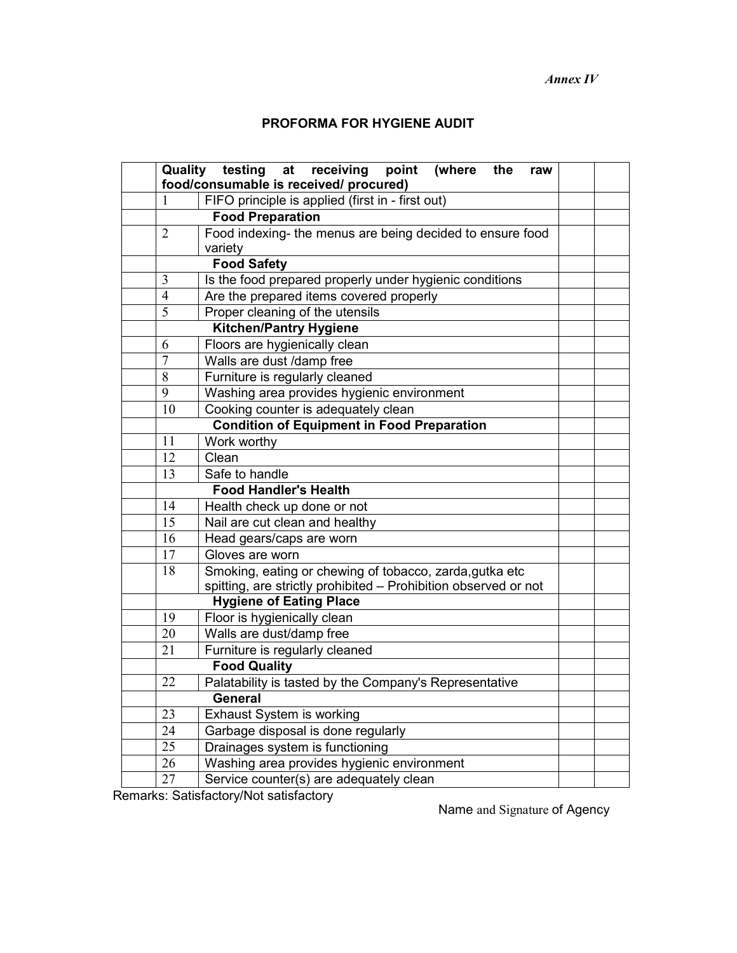*Annex IV* 

## **PROFORMA FOR HYGIENE AUDIT**

| Quality         | testing<br>receiving<br>point<br>(where<br>at<br>the<br>raw<br>food/consumable is received/ procured) |  |  |  |
|-----------------|-------------------------------------------------------------------------------------------------------|--|--|--|
| 1               | FIFO principle is applied (first in - first out)                                                      |  |  |  |
|                 | <b>Food Preparation</b>                                                                               |  |  |  |
| $\overline{2}$  | Food indexing- the menus are being decided to ensure food                                             |  |  |  |
|                 | variety                                                                                               |  |  |  |
|                 | <b>Food Safety</b>                                                                                    |  |  |  |
| 3               | Is the food prepared properly under hygienic conditions                                               |  |  |  |
| $\overline{4}$  | Are the prepared items covered properly                                                               |  |  |  |
| 5               | Proper cleaning of the utensils                                                                       |  |  |  |
|                 | <b>Kitchen/Pantry Hygiene</b>                                                                         |  |  |  |
| 6               | Floors are hygienically clean                                                                         |  |  |  |
| $\overline{7}$  | Walls are dust /damp free                                                                             |  |  |  |
| 8               | Furniture is regularly cleaned                                                                        |  |  |  |
| 9               | Washing area provides hygienic environment                                                            |  |  |  |
| 10              | Cooking counter is adequately clean                                                                   |  |  |  |
|                 | <b>Condition of Equipment in Food Preparation</b>                                                     |  |  |  |
| 11              | Work worthy                                                                                           |  |  |  |
| 12              | Clean                                                                                                 |  |  |  |
| 13              | Safe to handle                                                                                        |  |  |  |
|                 | <b>Food Handler's Health</b>                                                                          |  |  |  |
| 14              | Health check up done or not                                                                           |  |  |  |
| 15              | Nail are cut clean and healthy                                                                        |  |  |  |
| 16              | Head gears/caps are worn                                                                              |  |  |  |
| 17              | Gloves are worn                                                                                       |  |  |  |
| $\overline{18}$ | Smoking, eating or chewing of tobacco, zarda, gutka etc                                               |  |  |  |
|                 | spitting, are strictly prohibited - Prohibition observed or not                                       |  |  |  |
|                 | <b>Hygiene of Eating Place</b>                                                                        |  |  |  |
| 19              | Floor is hygienically clean                                                                           |  |  |  |
| 20              | Walls are dust/damp free                                                                              |  |  |  |
| 21              | Furniture is regularly cleaned                                                                        |  |  |  |
|                 | <b>Food Quality</b>                                                                                   |  |  |  |
| 22              | Palatability is tasted by the Company's Representative                                                |  |  |  |
|                 | <b>General</b>                                                                                        |  |  |  |
| 23              | Exhaust System is working                                                                             |  |  |  |
| 24              | Garbage disposal is done regularly                                                                    |  |  |  |
| $\overline{25}$ | Drainages system is functioning                                                                       |  |  |  |
| 26              | Washing area provides hygienic environment                                                            |  |  |  |
| 27              | Service counter(s) are adequately clean                                                               |  |  |  |

Remarks: Satisfactory/Not satisfactory

Name and Signature of Agency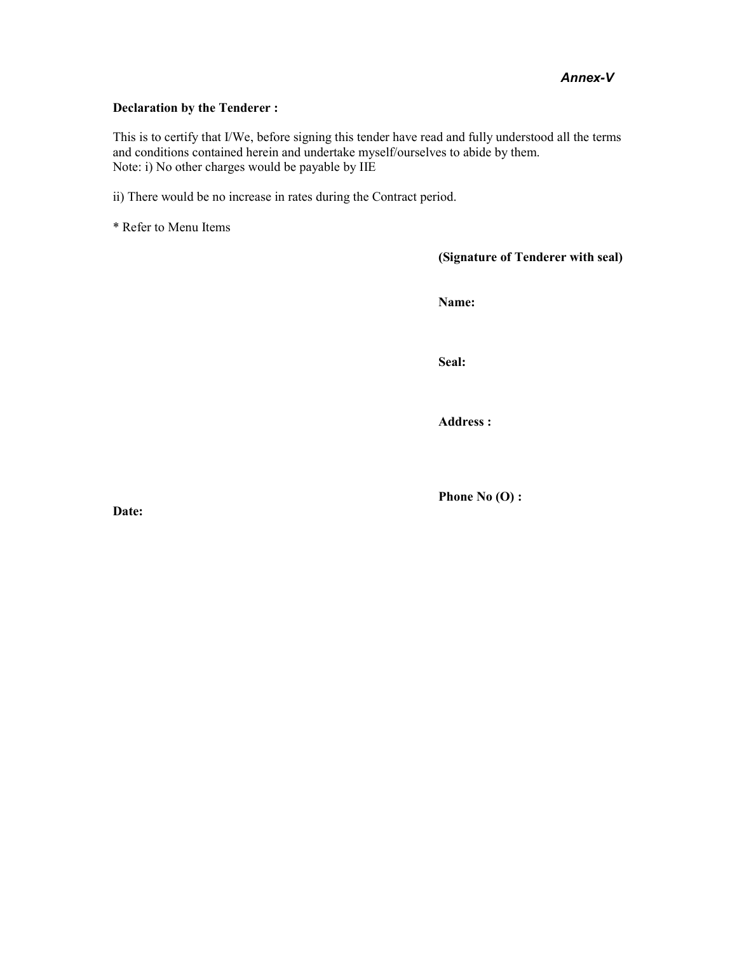### *Annex-V*

#### **Declaration by the Tenderer :**

This is to certify that I/We, before signing this tender have read and fully understood all the terms and conditions contained herein and undertake myself/ourselves to abide by them. Note: i) No other charges would be payable by IIE

ii) There would be no increase in rates during the Contract period.

\* Refer to Menu Items

**(Signature of Tenderer with seal)** 

**Name:** 

**Seal:** 

**Address :** 

**Phone No (O) :** 

**Date:**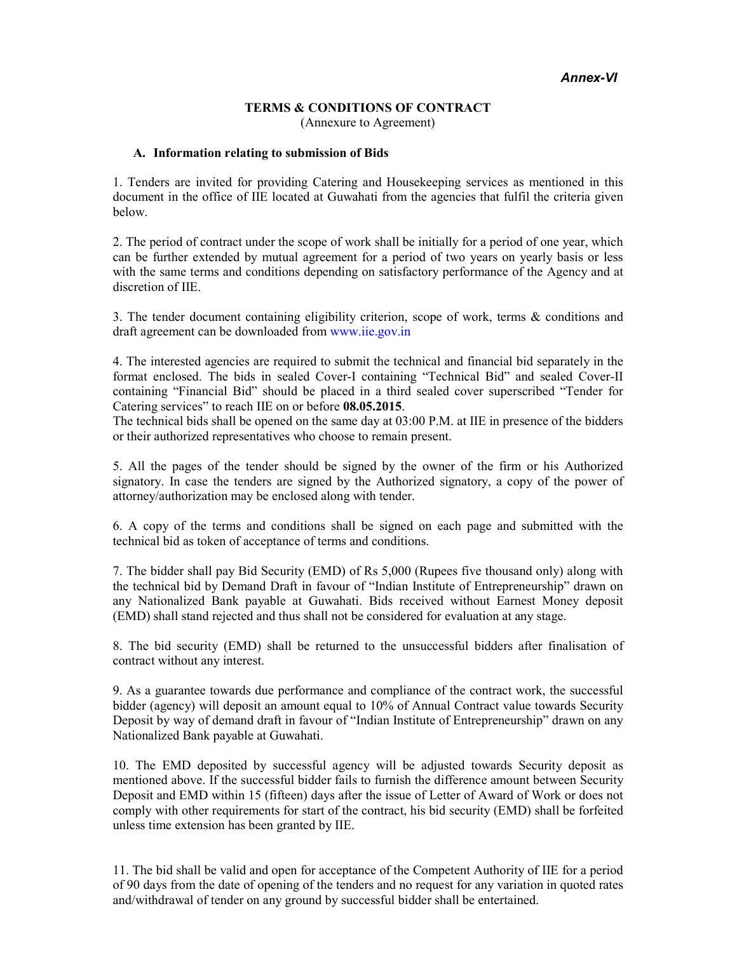#### **TERMS & CONDITIONS OF CONTRACT**  (Annexure to Agreement)

#### **A. Information relating to submission of Bids**

1. Tenders are invited for providing Catering and Housekeeping services as mentioned in this document in the office of IIE located at Guwahati from the agencies that fulfil the criteria given below.

2. The period of contract under the scope of work shall be initially for a period of one year, which can be further extended by mutual agreement for a period of two years on yearly basis or less with the same terms and conditions depending on satisfactory performance of the Agency and at discretion of IIE.

3. The tender document containing eligibility criterion, scope of work, terms & conditions and draft agreement can be downloaded from www.iie.gov.in

4. The interested agencies are required to submit the technical and financial bid separately in the format enclosed. The bids in sealed Cover-I containing "Technical Bid" and sealed Cover-II containing "Financial Bid" should be placed in a third sealed cover superscribed "Tender for Catering services" to reach IIE on or before **08.05.2015**.

The technical bids shall be opened on the same day at 03:00 P.M. at IIE in presence of the bidders or their authorized representatives who choose to remain present.

5. All the pages of the tender should be signed by the owner of the firm or his Authorized signatory. In case the tenders are signed by the Authorized signatory, a copy of the power of attorney/authorization may be enclosed along with tender.

6. A copy of the terms and conditions shall be signed on each page and submitted with the technical bid as token of acceptance of terms and conditions.

7. The bidder shall pay Bid Security (EMD) of Rs 5,000 (Rupees five thousand only) along with the technical bid by Demand Draft in favour of "Indian Institute of Entrepreneurship" drawn on any Nationalized Bank payable at Guwahati. Bids received without Earnest Money deposit (EMD) shall stand rejected and thus shall not be considered for evaluation at any stage.

8. The bid security (EMD) shall be returned to the unsuccessful bidders after finalisation of contract without any interest.

9. As a guarantee towards due performance and compliance of the contract work, the successful bidder (agency) will deposit an amount equal to 10% of Annual Contract value towards Security Deposit by way of demand draft in favour of "Indian Institute of Entrepreneurship" drawn on any Nationalized Bank payable at Guwahati.

10. The EMD deposited by successful agency will be adjusted towards Security deposit as mentioned above. If the successful bidder fails to furnish the difference amount between Security Deposit and EMD within 15 (fifteen) days after the issue of Letter of Award of Work or does not comply with other requirements for start of the contract, his bid security (EMD) shall be forfeited unless time extension has been granted by IIE.

11. The bid shall be valid and open for acceptance of the Competent Authority of IIE for a period of 90 days from the date of opening of the tenders and no request for any variation in quoted rates and/withdrawal of tender on any ground by successful bidder shall be entertained.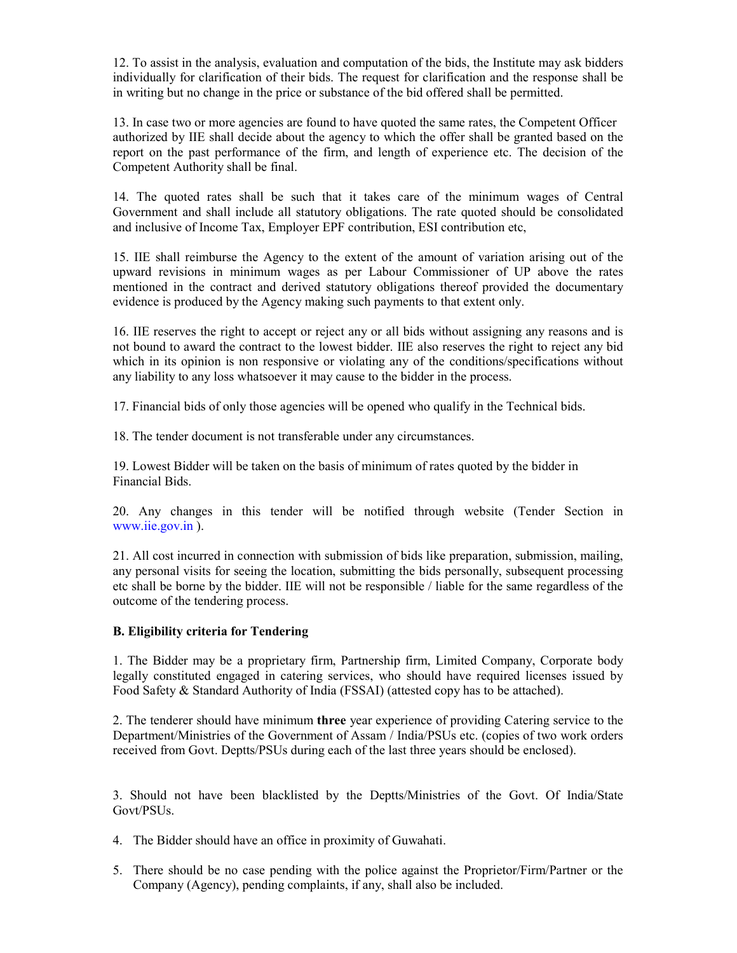12. To assist in the analysis, evaluation and computation of the bids, the Institute may ask bidders individually for clarification of their bids. The request for clarification and the response shall be in writing but no change in the price or substance of the bid offered shall be permitted.

13. In case two or more agencies are found to have quoted the same rates, the Competent Officer authorized by IIE shall decide about the agency to which the offer shall be granted based on the report on the past performance of the firm, and length of experience etc. The decision of the Competent Authority shall be final.

14. The quoted rates shall be such that it takes care of the minimum wages of Central Government and shall include all statutory obligations. The rate quoted should be consolidated and inclusive of Income Tax, Employer EPF contribution, ESI contribution etc,

15. IIE shall reimburse the Agency to the extent of the amount of variation arising out of the upward revisions in minimum wages as per Labour Commissioner of UP above the rates mentioned in the contract and derived statutory obligations thereof provided the documentary evidence is produced by the Agency making such payments to that extent only.

16. IIE reserves the right to accept or reject any or all bids without assigning any reasons and is not bound to award the contract to the lowest bidder. IIE also reserves the right to reject any bid which in its opinion is non responsive or violating any of the conditions/specifications without any liability to any loss whatsoever it may cause to the bidder in the process.

17. Financial bids of only those agencies will be opened who qualify in the Technical bids.

18. The tender document is not transferable under any circumstances.

19. Lowest Bidder will be taken on the basis of minimum of rates quoted by the bidder in Financial Bids.

20. Any changes in this tender will be notified through website (Tender Section in www.iie.gov.in ).

21. All cost incurred in connection with submission of bids like preparation, submission, mailing, any personal visits for seeing the location, submitting the bids personally, subsequent processing etc shall be borne by the bidder. IIE will not be responsible / liable for the same regardless of the outcome of the tendering process.

### **B. Eligibility criteria for Tendering**

1. The Bidder may be a proprietary firm, Partnership firm, Limited Company, Corporate body legally constituted engaged in catering services, who should have required licenses issued by Food Safety & Standard Authority of India (FSSAI) (attested copy has to be attached).

2. The tenderer should have minimum **three** year experience of providing Catering service to the Department/Ministries of the Government of Assam / India/PSUs etc. (copies of two work orders received from Govt. Deptts/PSUs during each of the last three years should be enclosed).

3. Should not have been blacklisted by the Deptts/Ministries of the Govt. Of India/State Govt/PSUs.

4. The Bidder should have an office in proximity of Guwahati.

5. There should be no case pending with the police against the Proprietor/Firm/Partner or the Company (Agency), pending complaints, if any, shall also be included.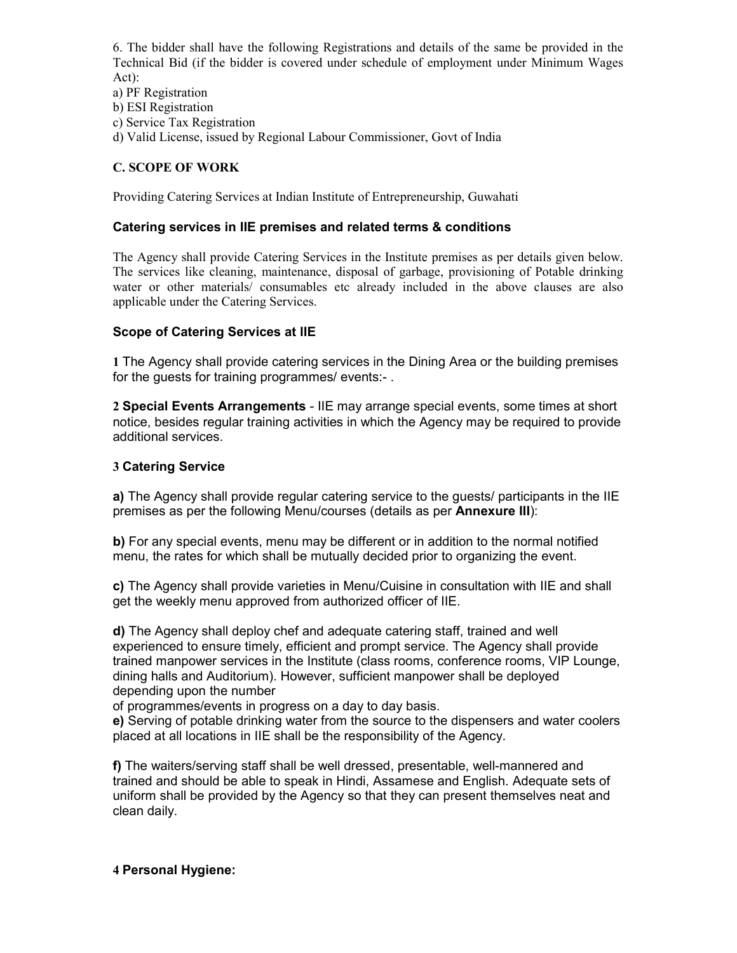6. The bidder shall have the following Registrations and details of the same be provided in the Technical Bid (if the bidder is covered under schedule of employment under Minimum Wages Act):

a) PF Registration

b) ESI Registration

c) Service Tax Registration

d) Valid License, issued by Regional Labour Commissioner, Govt of India

### **C. SCOPE OF WORK**

Providing Catering Services at Indian Institute of Entrepreneurship, Guwahati

### **Catering services in IIE premises and related terms & conditions**

The Agency shall provide Catering Services in the Institute premises as per details given below. The services like cleaning, maintenance, disposal of garbage, provisioning of Potable drinking water or other materials/ consumables etc already included in the above clauses are also applicable under the Catering Services.

### **Scope of Catering Services at IIE**

**1** The Agency shall provide catering services in the Dining Area or the building premises for the guests for training programmes/ events:- .

**2 Special Events Arrangements** - IIE may arrange special events, some times at short notice, besides regular training activities in which the Agency may be required to provide additional services.

### **3 Catering Service**

**a)** The Agency shall provide regular catering service to the guests/ participants in the IIE premises as per the following Menu/courses (details as per **Annexure III**):

**b)** For any special events, menu may be different or in addition to the normal notified menu, the rates for which shall be mutually decided prior to organizing the event.

**c)** The Agency shall provide varieties in Menu/Cuisine in consultation with IIE and shall get the weekly menu approved from authorized officer of IIE.

**d)** The Agency shall deploy chef and adequate catering staff, trained and well experienced to ensure timely, efficient and prompt service. The Agency shall provide trained manpower services in the Institute (class rooms, conference rooms, VIP Lounge, dining halls and Auditorium). However, sufficient manpower shall be deployed depending upon the number

of programmes/events in progress on a day to day basis.

**e)** Serving of potable drinking water from the source to the dispensers and water coolers placed at all locations in IIE shall be the responsibility of the Agency.

**f)** The waiters/serving staff shall be well dressed, presentable, well-mannered and trained and should be able to speak in Hindi, Assamese and English. Adequate sets of uniform shall be provided by the Agency so that they can present themselves neat and clean daily.

### **4 Personal Hygiene:**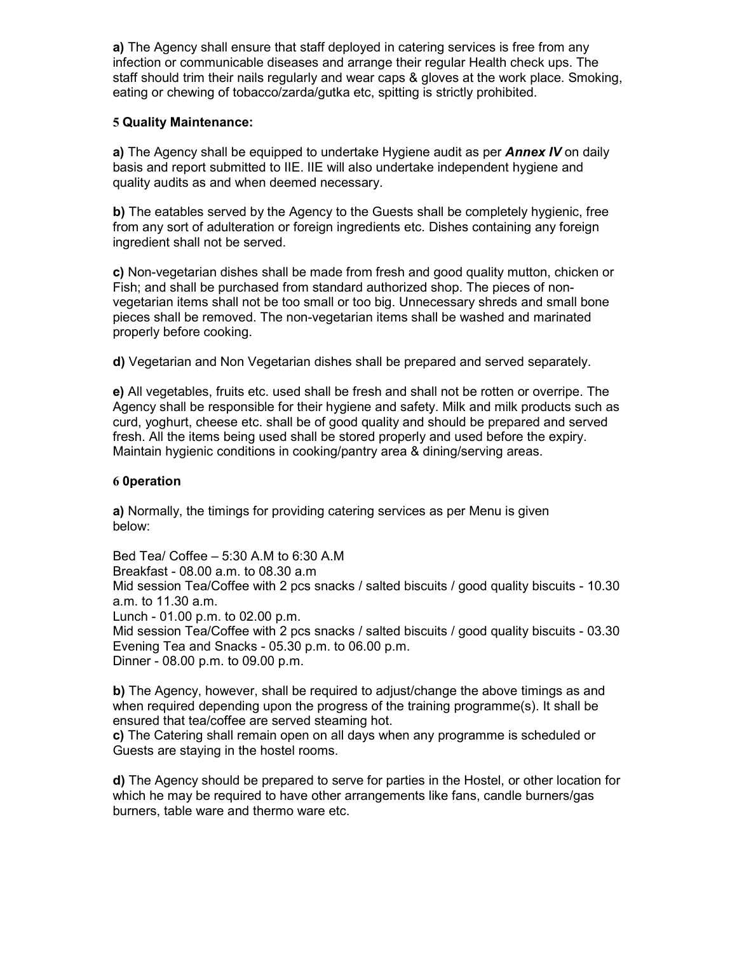**a)** The Agency shall ensure that staff deployed in catering services is free from any infection or communicable diseases and arrange their regular Health check ups. The staff should trim their nails regularly and wear caps & gloves at the work place. Smoking, eating or chewing of tobacco/zarda/gutka etc, spitting is strictly prohibited.

### **5 Quality Maintenance:**

**a)** The Agency shall be equipped to undertake Hygiene audit as per *Annex IV* on daily basis and report submitted to IIE. IIE will also undertake independent hygiene and quality audits as and when deemed necessary.

**b)** The eatables served by the Agency to the Guests shall be completely hygienic, free from any sort of adulteration or foreign ingredients etc. Dishes containing any foreign ingredient shall not be served.

**c)** Non-vegetarian dishes shall be made from fresh and good quality mutton, chicken or Fish; and shall be purchased from standard authorized shop. The pieces of nonvegetarian items shall not be too small or too big. Unnecessary shreds and small bone pieces shall be removed. The non-vegetarian items shall be washed and marinated properly before cooking.

**d)** Vegetarian and Non Vegetarian dishes shall be prepared and served separately.

**e)** All vegetables, fruits etc. used shall be fresh and shall not be rotten or overripe. The Agency shall be responsible for their hygiene and safety. Milk and milk products such as curd, yoghurt, cheese etc. shall be of good quality and should be prepared and served fresh. All the items being used shall be stored properly and used before the expiry. Maintain hygienic conditions in cooking/pantry area & dining/serving areas.

### **6 0peration**

**a)** Normally, the timings for providing catering services as per Menu is given below:

Bed Tea/ Coffee – 5:30 A.M to 6:30 A.M Breakfast - 08.00 a.m. to 08.30 a.m Mid session Tea/Coffee with 2 pcs snacks / salted biscuits / good quality biscuits - 10.30 a.m. to 11.30 a.m. Lunch - 01.00 p.m. to 02.00 p.m. Mid session Tea/Coffee with 2 pcs snacks / salted biscuits / good quality biscuits - 03.30 Evening Tea and Snacks - 05.30 p.m. to 06.00 p.m. Dinner - 08.00 p.m. to 09.00 p.m.

**b)** The Agency, however, shall be required to adjust/change the above timings as and when required depending upon the progress of the training programme(s). It shall be ensured that tea/coffee are served steaming hot.

**c)** The Catering shall remain open on all days when any programme is scheduled or Guests are staying in the hostel rooms.

**d)** The Agency should be prepared to serve for parties in the Hostel, or other location for which he may be required to have other arrangements like fans, candle burners/gas burners, table ware and thermo ware etc.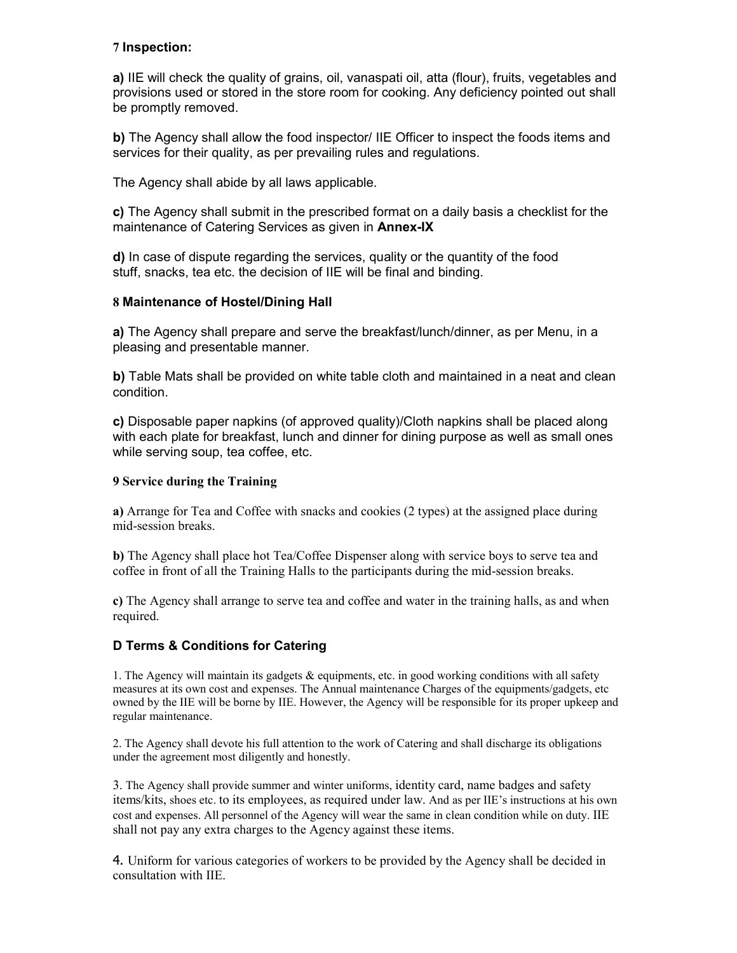### **7 Inspection:**

**a)** IIE will check the quality of grains, oil, vanaspati oil, atta (flour), fruits, vegetables and provisions used or stored in the store room for cooking. Any deficiency pointed out shall be promptly removed.

**b)** The Agency shall allow the food inspector/ IIE Officer to inspect the foods items and services for their quality, as per prevailing rules and regulations.

The Agency shall abide by all laws applicable.

**c)** The Agency shall submit in the prescribed format on a daily basis a checklist for the maintenance of Catering Services as given in **Annex-IX**

**d)** In case of dispute regarding the services, quality or the quantity of the food stuff, snacks, tea etc. the decision of IIE will be final and binding.

### **8 Maintenance of Hostel/Dining Hall**

**a)** The Agency shall prepare and serve the breakfast/lunch/dinner, as per Menu, in a pleasing and presentable manner.

**b)** Table Mats shall be provided on white table cloth and maintained in a neat and clean condition.

**c)** Disposable paper napkins (of approved quality)/Cloth napkins shall be placed along with each plate for breakfast, lunch and dinner for dining purpose as well as small ones while serving soup, tea coffee, etc.

#### **9 Service during the Training**

**a)** Arrange for Tea and Coffee with snacks and cookies (2 types) at the assigned place during mid-session breaks.

**b)** The Agency shall place hot Tea/Coffee Dispenser along with service boys to serve tea and coffee in front of all the Training Halls to the participants during the mid-session breaks.

**c)** The Agency shall arrange to serve tea and coffee and water in the training halls, as and when required.

### **D Terms & Conditions for Catering**

1. The Agency will maintain its gadgets & equipments, etc. in good working conditions with all safety measures at its own cost and expenses. The Annual maintenance Charges of the equipments/gadgets, etc owned by the IIE will be borne by IIE. However, the Agency will be responsible for its proper upkeep and regular maintenance.

2. The Agency shall devote his full attention to the work of Catering and shall discharge its obligations under the agreement most diligently and honestly.

3. The Agency shall provide summer and winter uniforms, identity card, name badges and safety items/kits, shoes etc. to its employees, as required under law. And as per IIE's instructions at his own cost and expenses. All personnel of the Agency will wear the same in clean condition while on duty. IIE shall not pay any extra charges to the Agency against these items.

4. Uniform for various categories of workers to be provided by the Agency shall be decided in consultation with IIE.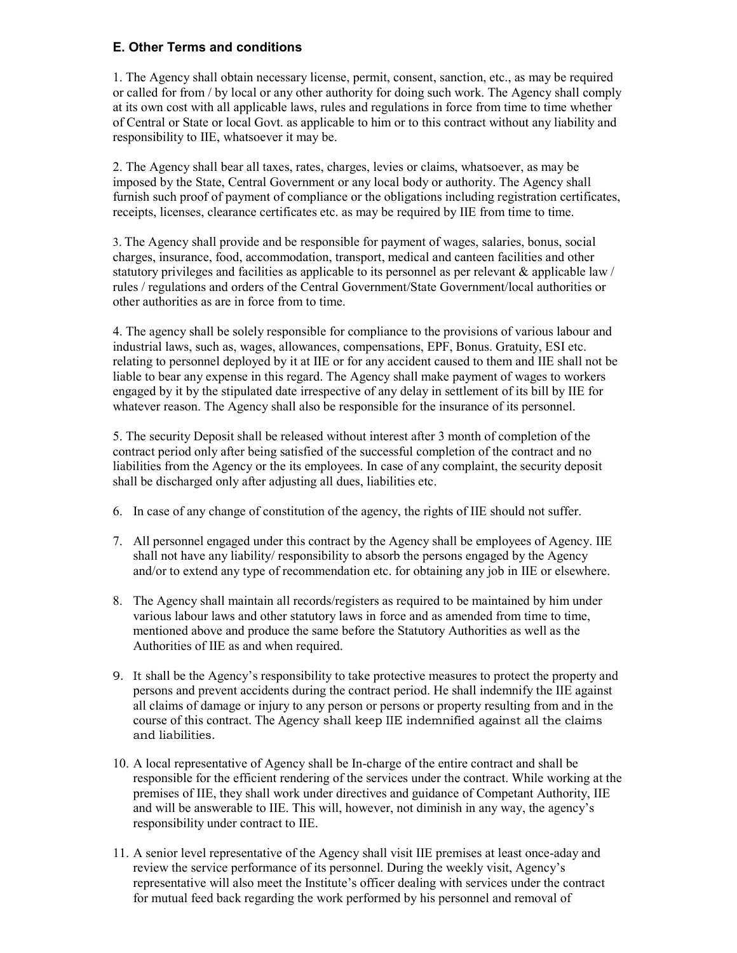### **E. Other Terms and conditions**

1. The Agency shall obtain necessary license, permit, consent, sanction, etc., as may be required or called for from / by local or any other authority for doing such work. The Agency shall comply at its own cost with all applicable laws, rules and regulations in force from time to time whether of Central or State or local Govt. as applicable to him or to this contract without any liability and responsibility to IIE, whatsoever it may be.

2. The Agency shall bear all taxes, rates, charges, levies or claims, whatsoever, as may be imposed by the State, Central Government or any local body or authority. The Agency shall furnish such proof of payment of compliance or the obligations including registration certificates, receipts, licenses, clearance certificates etc. as may be required by IIE from time to time.

3. The Agency shall provide and be responsible for payment of wages, salaries, bonus, social charges, insurance, food, accommodation, transport, medical and canteen facilities and other statutory privileges and facilities as applicable to its personnel as per relevant & applicable law / rules / regulations and orders of the Central Government/State Government/local authorities or other authorities as are in force from to time.

4. The agency shall be solely responsible for compliance to the provisions of various labour and industrial laws, such as, wages, allowances, compensations, EPF, Bonus. Gratuity, ESI etc. relating to personnel deployed by it at IIE or for any accident caused to them and IIE shall not be liable to bear any expense in this regard. The Agency shall make payment of wages to workers engaged by it by the stipulated date irrespective of any delay in settlement of its bill by IIE for whatever reason. The Agency shall also be responsible for the insurance of its personnel.

5. The security Deposit shall be released without interest after 3 month of completion of the contract period only after being satisfied of the successful completion of the contract and no liabilities from the Agency or the its employees. In case of any complaint, the security deposit shall be discharged only after adjusting all dues, liabilities etc.

- 6. In case of any change of constitution of the agency, the rights of IIE should not suffer.
- 7. All personnel engaged under this contract by the Agency shall be employees of Agency. IIE shall not have any liability/ responsibility to absorb the persons engaged by the Agency and/or to extend any type of recommendation etc. for obtaining any job in IIE or elsewhere.
- 8. The Agency shall maintain all records/registers as required to be maintained by him under various labour laws and other statutory laws in force and as amended from time to time, mentioned above and produce the same before the Statutory Authorities as well as the Authorities of IIE as and when required.
- 9. It shall be the Agency's responsibility to take protective measures to protect the property and persons and prevent accidents during the contract period. He shall indemnify the IIE against all claims of damage or injury to any person or persons or property resulting from and in the course of this contract. The Agency shall keep IIE indemnified against all the claims and liabilities.
- 10. A local representative of Agency shall be In-charge of the entire contract and shall be responsible for the efficient rendering of the services under the contract. While working at the premises of IIE, they shall work under directives and guidance of Competant Authority, IIE and will be answerable to IIE. This will, however, not diminish in any way, the agency's responsibility under contract to IIE.
- 11. A senior level representative of the Agency shall visit IIE premises at least once-aday and review the service performance of its personnel. During the weekly visit, Agency's representative will also meet the Institute's officer dealing with services under the contract for mutual feed back regarding the work performed by his personnel and removal of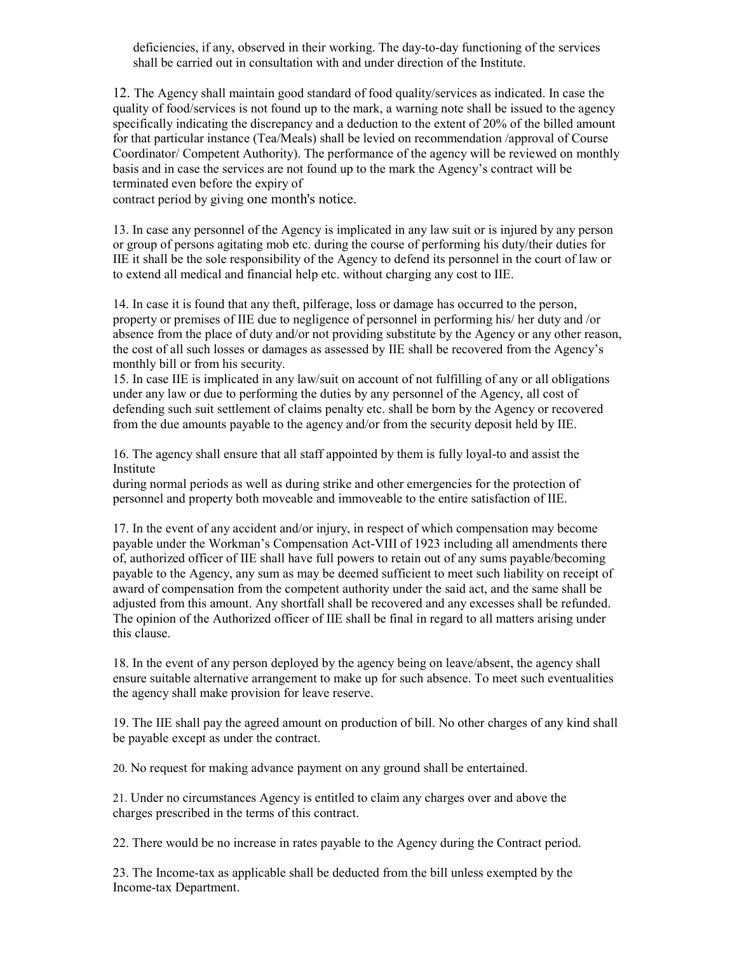deficiencies, if any, observed in their working. The day-to-day functioning of the services shall be carried out in consultation with and under direction of the Institute.

12. The Agency shall maintain good standard of food quality/services as indicated. In case the quality of food/services is not found up to the mark, a warning note shall be issued to the agency specifically indicating the discrepancy and a deduction to the extent of 20% of the billed amount for that particular instance (Tea/Meals) shall be levied on recommendation /approval of Course Coordinator/ Competent Authority). The performance of the agency will be reviewed on monthly basis and in case the services are not found up to the mark the Agency's contract will be terminated even before the expiry of

contract period by giving one month's notice.

13. In case any personnel of the Agency is implicated in any law suit or is injured by any person or group of persons agitating mob etc. during the course of performing his duty/their duties for IIE it shall be the sole responsibility of the Agency to defend its personnel in the court of law or to extend all medical and financial help etc. without charging any cost to IIE.

14. In case it is found that any theft, pilferage, loss or damage has occurred to the person, property or premises of IIE due to negligence of personnel in performing his/ her duty and /or absence from the place of duty and/or not providing substitute by the Agency or any other reason, the cost of all such losses or damages as assessed by IIE shall be recovered from the Agency's monthly bill or from his security.

15. In case IIE is implicated in any law/suit on account of not fulfilling of any or all obligations under any law or due to performing the duties by any personnel of the Agency, all cost of defending such suit settlement of claims penalty etc. shall be born by the Agency or recovered from the due amounts payable to the agency and/or from the security deposit held by IIE.

16. The agency shall ensure that all staff appointed by them is fully loyal-to and assist the Institute

during normal periods as well as during strike and other emergencies for the protection of personnel and property both moveable and immoveable to the entire satisfaction of IIE.

17. In the event of any accident and/or injury, in respect of which compensation may become payable under the Workman's Compensation Act-VIII of 1923 including all amendments there of, authorized officer of IIE shall have full powers to retain out of any sums payable/becoming payable to the Agency, any sum as may be deemed sufficient to meet such liability on receipt of award of compensation from the competent authority under the said act, and the same shall be adjusted from this amount. Any shortfall shall be recovered and any excesses shall be refunded. The opinion of the Authorized officer of IIE shall be final in regard to all matters arising under this clause.

18. In the event of any person deployed by the agency being on leave/absent, the agency shall ensure suitable alternative arrangement to make up for such absence. To meet such eventualities the agency shall make provision for leave reserve.

19. The IIE shall pay the agreed amount on production of bill. No other charges of any kind shall be payable except as under the contract.

20. No request for making advance payment on any ground shall be entertained.

21. Under no circumstances Agency is entitled to claim any charges over and above the charges prescribed in the terms of this contract.

22. There would be no increase in rates payable to the Agency during the Contract period.

23. The Income-tax as applicable shall be deducted from the bill unless exempted by the Income-tax Department.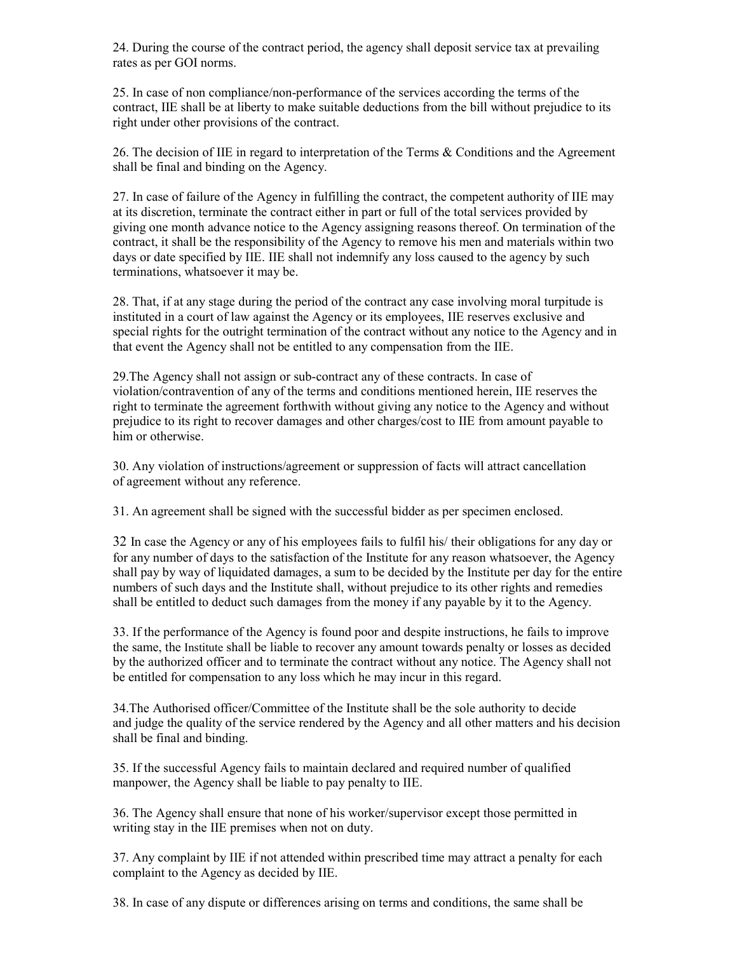24. During the course of the contract period, the agency shall deposit service tax at prevailing rates as per GOI norms.

25. In case of non compliance/non-performance of the services according the terms of the contract, IIE shall be at liberty to make suitable deductions from the bill without prejudice to its right under other provisions of the contract.

26. The decision of IIE in regard to interpretation of the Terms & Conditions and the Agreement shall be final and binding on the Agency.

27. In case of failure of the Agency in fulfilling the contract, the competent authority of IIE may at its discretion, terminate the contract either in part or full of the total services provided by giving one month advance notice to the Agency assigning reasons thereof. On termination of the contract, it shall be the responsibility of the Agency to remove his men and materials within two days or date specified by IIE. IIE shall not indemnify any loss caused to the agency by such terminations, whatsoever it may be.

28. That, if at any stage during the period of the contract any case involving moral turpitude is instituted in a court of law against the Agency or its employees, IIE reserves exclusive and special rights for the outright termination of the contract without any notice to the Agency and in that event the Agency shall not be entitled to any compensation from the IIE.

29.The Agency shall not assign or sub-contract any of these contracts. In case of violation/contravention of any of the terms and conditions mentioned herein, IIE reserves the right to terminate the agreement forthwith without giving any notice to the Agency and without prejudice to its right to recover damages and other charges/cost to IIE from amount payable to him or otherwise.

30. Any violation of instructions/agreement or suppression of facts will attract cancellation of agreement without any reference.

31. An agreement shall be signed with the successful bidder as per specimen enclosed.

32 In case the Agency or any of his employees fails to fulfil his/ their obligations for any day or for any number of days to the satisfaction of the Institute for any reason whatsoever, the Agency shall pay by way of liquidated damages, a sum to be decided by the Institute per day for the entire numbers of such days and the Institute shall, without prejudice to its other rights and remedies shall be entitled to deduct such damages from the money if any payable by it to the Agency.

33. If the performance of the Agency is found poor and despite instructions, he fails to improve the same, the Institute shall be liable to recover any amount towards penalty or losses as decided by the authorized officer and to terminate the contract without any notice. The Agency shall not be entitled for compensation to any loss which he may incur in this regard.

34.The Authorised officer/Committee of the Institute shall be the sole authority to decide and judge the quality of the service rendered by the Agency and all other matters and his decision shall be final and binding.

35. If the successful Agency fails to maintain declared and required number of qualified manpower, the Agency shall be liable to pay penalty to IIE.

36. The Agency shall ensure that none of his worker/supervisor except those permitted in writing stay in the IIE premises when not on duty.

37. Any complaint by IIE if not attended within prescribed time may attract a penalty for each complaint to the Agency as decided by IIE.

38. In case of any dispute or differences arising on terms and conditions, the same shall be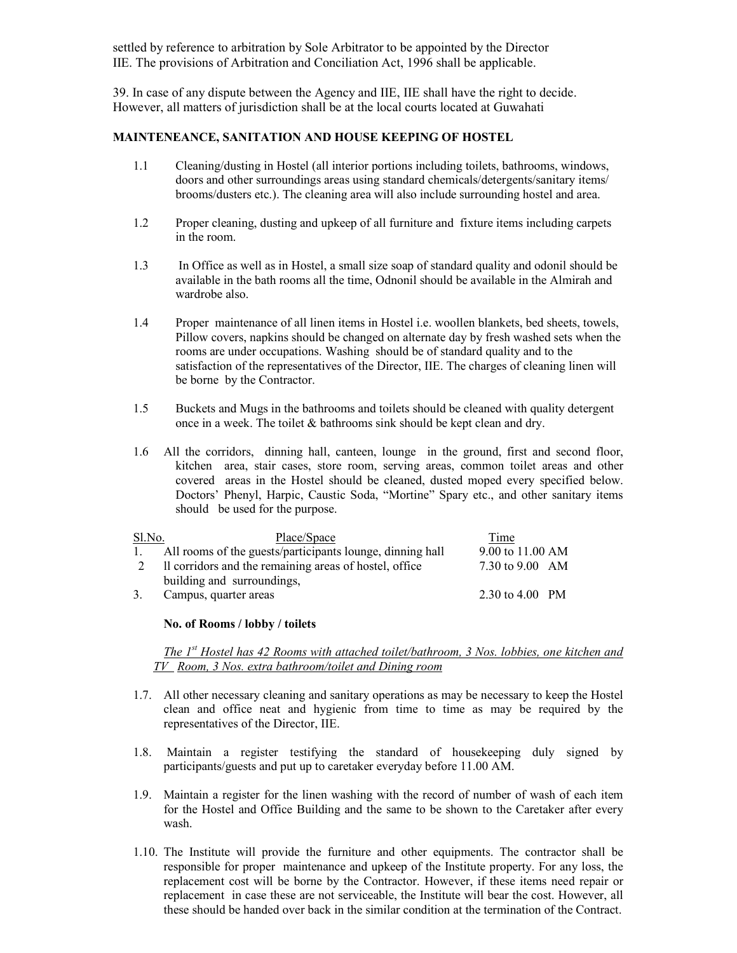settled by reference to arbitration by Sole Arbitrator to be appointed by the Director IIE. The provisions of Arbitration and Conciliation Act, 1996 shall be applicable.

39. In case of any dispute between the Agency and IIE, IIE shall have the right to decide. However, all matters of jurisdiction shall be at the local courts located at Guwahati

#### **MAINTENEANCE, SANITATION AND HOUSE KEEPING OF HOSTEL**

- 1.1 Cleaning/dusting in Hostel (all interior portions including toilets, bathrooms, windows, doors and other surroundings areas using standard chemicals/detergents/sanitary items/ brooms/dusters etc.). The cleaning area will also include surrounding hostel and area.
- 1.2 Proper cleaning, dusting and upkeep of all furniture and fixture items including carpets in the room.
- 1.3 In Office as well as in Hostel, a small size soap of standard quality and odonil should be available in the bath rooms all the time, Odnonil should be available in the Almirah and wardrobe also.
- 1.4 Proper maintenance of all linen items in Hostel i.e. woollen blankets, bed sheets, towels, Pillow covers, napkins should be changed on alternate day by fresh washed sets when the rooms are under occupations. Washing should be of standard quality and to the satisfaction of the representatives of the Director, IIE. The charges of cleaning linen will be borne by the Contractor.
- 1.5 Buckets and Mugs in the bathrooms and toilets should be cleaned with quality detergent once in a week. The toilet & bathrooms sink should be kept clean and dry.
- 1.6 All the corridors, dinning hall, canteen, lounge in the ground, first and second floor, kitchen area, stair cases, store room, serving areas, common toilet areas and other covered areas in the Hostel should be cleaned, dusted moped every specified below. Doctors' Phenyl, Harpic, Caustic Soda, "Mortine" Spary etc., and other sanitary items should be used for the purpose.

| Sl.No. | Place/Space                                               | Time             |
|--------|-----------------------------------------------------------|------------------|
|        | All rooms of the guests/participants lounge, dinning hall | 9.00 to 11.00 AM |
|        | Il corridors and the remaining areas of hostel, office    | 7.30 to 9.00 AM  |
|        | building and surroundings,                                |                  |
|        | Campus, quarter areas                                     | 2.30 to 4.00 PM  |

#### **No. of Rooms / lobby / toilets**

*The 1st Hostel has 42 Rooms with attached toilet/bathroom, 3 Nos. lobbies, one kitchen and TV Room, 3 Nos. extra bathroom/toilet and Dining room*

- 1.7. All other necessary cleaning and sanitary operations as may be necessary to keep the Hostel clean and office neat and hygienic from time to time as may be required by the representatives of the Director, IIE.
- 1.8. Maintain a register testifying the standard of housekeeping duly signed by participants/guests and put up to caretaker everyday before 11.00 AM.
- 1.9. Maintain a register for the linen washing with the record of number of wash of each item for the Hostel and Office Building and the same to be shown to the Caretaker after every wash.
- 1.10. The Institute will provide the furniture and other equipments. The contractor shall be responsible for proper maintenance and upkeep of the Institute property. For any loss, the replacement cost will be borne by the Contractor. However, if these items need repair or replacement in case these are not serviceable, the Institute will bear the cost. However, all these should be handed over back in the similar condition at the termination of the Contract.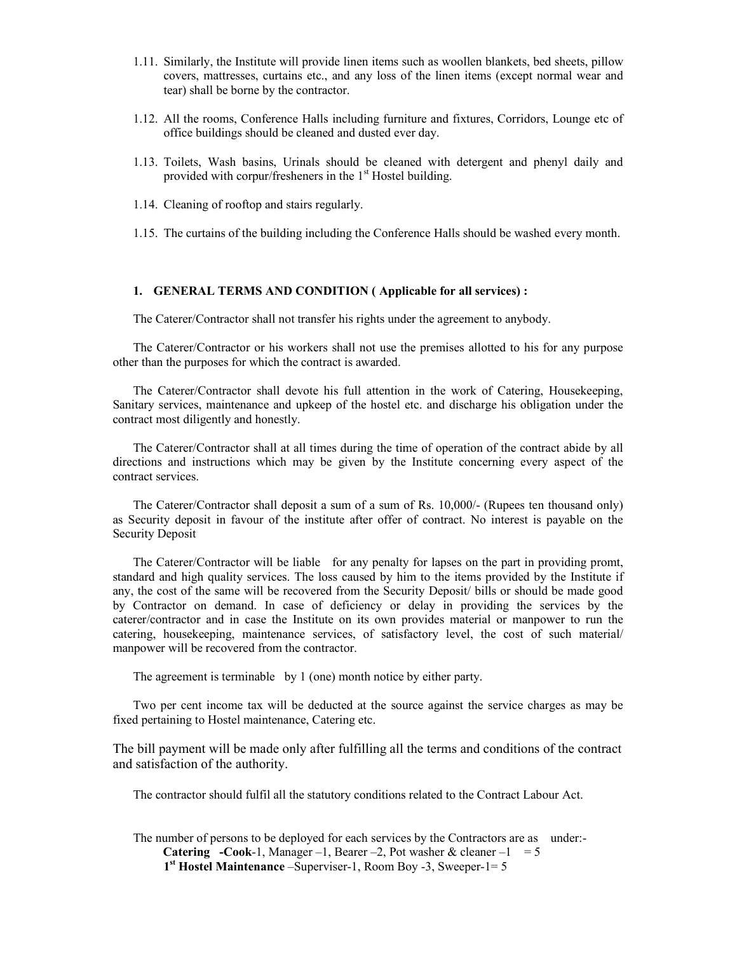- 1.11. Similarly, the Institute will provide linen items such as woollen blankets, bed sheets, pillow covers, mattresses, curtains etc., and any loss of the linen items (except normal wear and tear) shall be borne by the contractor.
- 1.12. All the rooms, Conference Halls including furniture and fixtures, Corridors, Lounge etc of office buildings should be cleaned and dusted ever day.
- 1.13. Toilets, Wash basins, Urinals should be cleaned with detergent and phenyl daily and provided with corpur/fresheners in the  $1<sup>st</sup>$  Hostel building.
- 1.14. Cleaning of rooftop and stairs regularly.
- 1.15. The curtains of the building including the Conference Halls should be washed every month.

#### **1. GENERAL TERMS AND CONDITION ( Applicable for all services) :**

The Caterer/Contractor shall not transfer his rights under the agreement to anybody.

The Caterer/Contractor or his workers shall not use the premises allotted to his for any purpose other than the purposes for which the contract is awarded.

The Caterer/Contractor shall devote his full attention in the work of Catering, Housekeeping, Sanitary services, maintenance and upkeep of the hostel etc. and discharge his obligation under the contract most diligently and honestly.

The Caterer/Contractor shall at all times during the time of operation of the contract abide by all directions and instructions which may be given by the Institute concerning every aspect of the contract services.

The Caterer/Contractor shall deposit a sum of a sum of Rs. 10,000/- (Rupees ten thousand only) as Security deposit in favour of the institute after offer of contract. No interest is payable on the Security Deposit

The Caterer/Contractor will be liable for any penalty for lapses on the part in providing promt, standard and high quality services. The loss caused by him to the items provided by the Institute if any, the cost of the same will be recovered from the Security Deposit/ bills or should be made good by Contractor on demand. In case of deficiency or delay in providing the services by the caterer/contractor and in case the Institute on its own provides material or manpower to run the catering, housekeeping, maintenance services, of satisfactory level, the cost of such material/ manpower will be recovered from the contractor.

The agreement is terminable by 1 (one) month notice by either party.

Two per cent income tax will be deducted at the source against the service charges as may be fixed pertaining to Hostel maintenance, Catering etc.

The bill payment will be made only after fulfilling all the terms and conditions of the contract and satisfaction of the authority.

The contractor should fulfil all the statutory conditions related to the Contract Labour Act.

The number of persons to be deployed for each services by the Contractors are as under:- **Catering** -Cook-1, Manager –1, Bearer –2, Pot washer & cleaner –1 =  $5$  **1st Hostel Maintenance** –Superviser-1, Room Boy -3, Sweeper-1= 5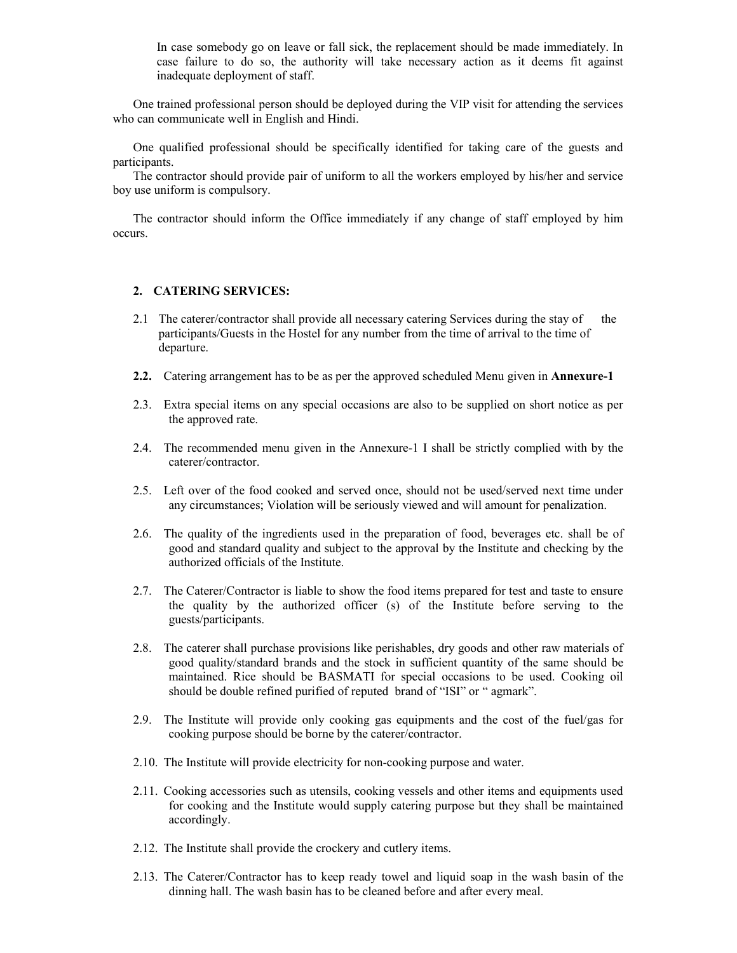In case somebody go on leave or fall sick, the replacement should be made immediately. In case failure to do so, the authority will take necessary action as it deems fit against inadequate deployment of staff.

One trained professional person should be deployed during the VIP visit for attending the services who can communicate well in English and Hindi.

One qualified professional should be specifically identified for taking care of the guests and participants.

The contractor should provide pair of uniform to all the workers employed by his/her and service boy use uniform is compulsory.

The contractor should inform the Office immediately if any change of staff employed by him occurs.

### **2. CATERING SERVICES:**

- 2.1 The caterer/contractor shall provide all necessary catering Services during the stay of the participants/Guests in the Hostel for any number from the time of arrival to the time of departure.
- **2.2.** Catering arrangement has to be as per the approved scheduled Menu given in **Annexure-1**
- 2.3. Extra special items on any special occasions are also to be supplied on short notice as per the approved rate.
- 2.4. The recommended menu given in the Annexure-1 I shall be strictly complied with by the caterer/contractor.
- 2.5. Left over of the food cooked and served once, should not be used/served next time under any circumstances; Violation will be seriously viewed and will amount for penalization.
- 2.6. The quality of the ingredients used in the preparation of food, beverages etc. shall be of good and standard quality and subject to the approval by the Institute and checking by the authorized officials of the Institute.
- 2.7. The Caterer/Contractor is liable to show the food items prepared for test and taste to ensure the quality by the authorized officer (s) of the Institute before serving to the guests/participants.
- 2.8. The caterer shall purchase provisions like perishables, dry goods and other raw materials of good quality/standard brands and the stock in sufficient quantity of the same should be maintained. Rice should be BASMATI for special occasions to be used. Cooking oil should be double refined purified of reputed brand of "ISI" or " agmark".
- 2.9. The Institute will provide only cooking gas equipments and the cost of the fuel/gas for cooking purpose should be borne by the caterer/contractor.
- 2.10. The Institute will provide electricity for non-cooking purpose and water.
- 2.11. Cooking accessories such as utensils, cooking vessels and other items and equipments used for cooking and the Institute would supply catering purpose but they shall be maintained accordingly.
- 2.12. The Institute shall provide the crockery and cutlery items.
- 2.13. The Caterer/Contractor has to keep ready towel and liquid soap in the wash basin of the dinning hall. The wash basin has to be cleaned before and after every meal.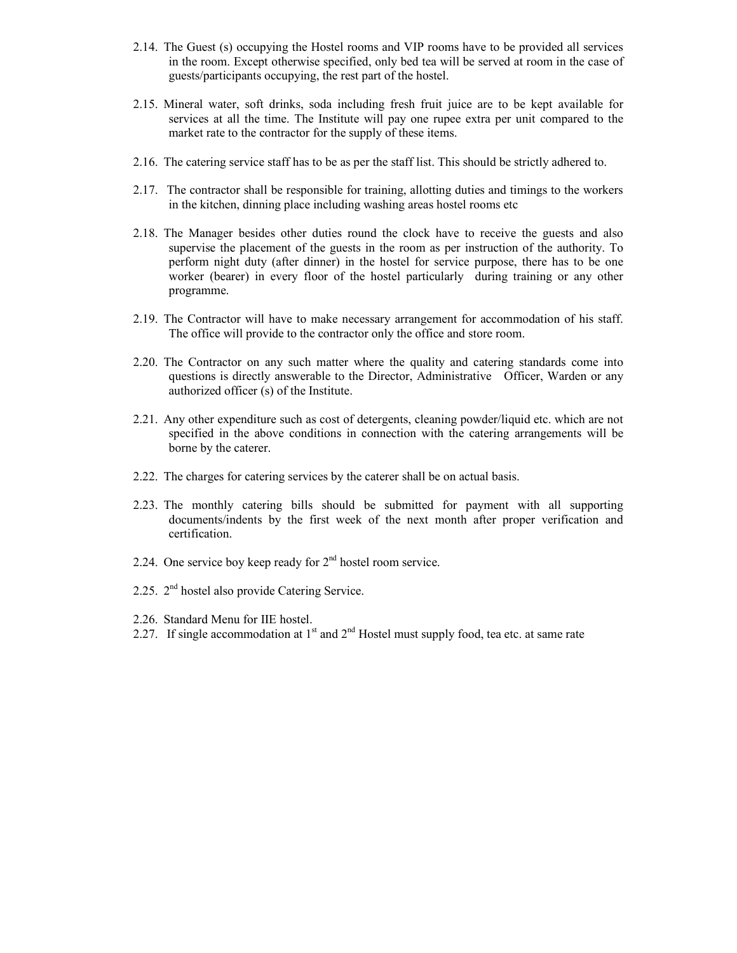- 2.14. The Guest (s) occupying the Hostel rooms and VIP rooms have to be provided all services in the room. Except otherwise specified, only bed tea will be served at room in the case of guests/participants occupying, the rest part of the hostel.
- 2.15. Mineral water, soft drinks, soda including fresh fruit juice are to be kept available for services at all the time. The Institute will pay one rupee extra per unit compared to the market rate to the contractor for the supply of these items.
- 2.16. The catering service staff has to be as per the staff list. This should be strictly adhered to.
- 2.17. The contractor shall be responsible for training, allotting duties and timings to the workers in the kitchen, dinning place including washing areas hostel rooms etc
- 2.18. The Manager besides other duties round the clock have to receive the guests and also supervise the placement of the guests in the room as per instruction of the authority. To perform night duty (after dinner) in the hostel for service purpose, there has to be one worker (bearer) in every floor of the hostel particularly during training or any other programme.
- 2.19. The Contractor will have to make necessary arrangement for accommodation of his staff. The office will provide to the contractor only the office and store room.
- 2.20. The Contractor on any such matter where the quality and catering standards come into questions is directly answerable to the Director, Administrative Officer, Warden or any authorized officer (s) of the Institute.
- 2.21. Any other expenditure such as cost of detergents, cleaning powder/liquid etc. which are not specified in the above conditions in connection with the catering arrangements will be borne by the caterer.
- 2.22. The charges for catering services by the caterer shall be on actual basis.
- 2.23. The monthly catering bills should be submitted for payment with all supporting documents/indents by the first week of the next month after proper verification and certification.
- 2.24. One service boy keep ready for  $2<sup>nd</sup>$  hostel room service.
- 2.25. 2<sup>nd</sup> hostel also provide Catering Service.
- 2.26. Standard Menu for IIE hostel.
- 2.27. If single accommodation at  $1<sup>st</sup>$  and  $2<sup>nd</sup>$  Hostel must supply food, tea etc. at same rate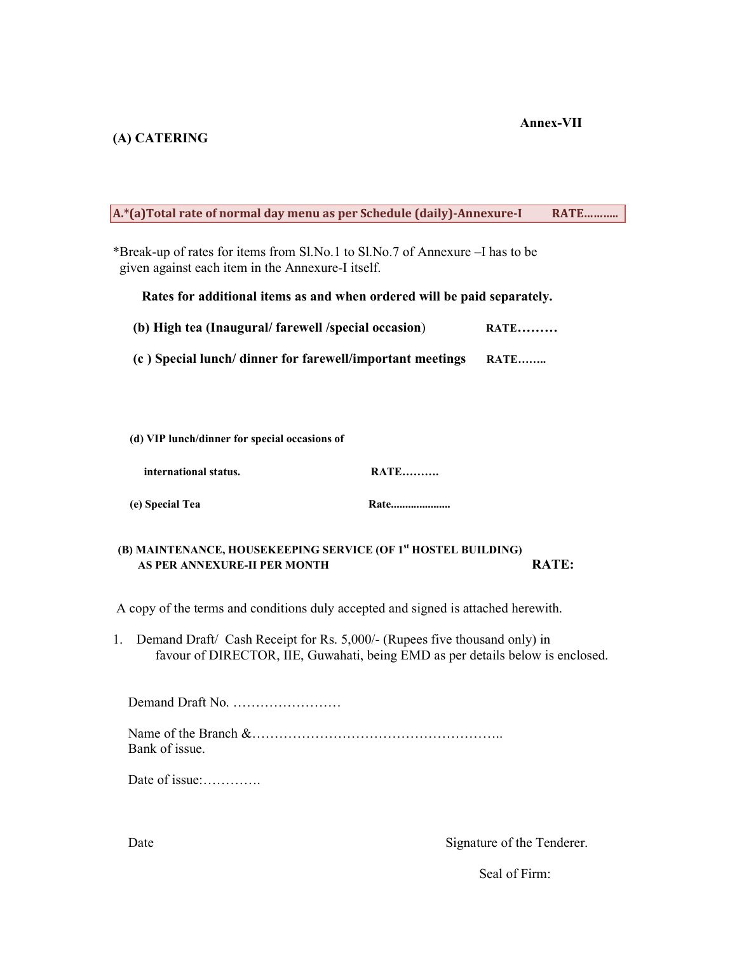# **(A) CATERING**

## **Annex-VII**

| A.*(a)Total rate of normal day menu as per Schedule (daily)-Annexure-I                                                                                            | <b>RATE</b>  |  |  |
|-------------------------------------------------------------------------------------------------------------------------------------------------------------------|--------------|--|--|
| *Break-up of rates for items from Sl.No.1 to Sl.No.7 of Annexure - I has to be<br>given against each item in the Annexure-I itself.                               |              |  |  |
| Rates for additional items as and when ordered will be paid separately.                                                                                           |              |  |  |
| (b) High tea (Inaugural/farewell/special occasion)                                                                                                                | <b>RATE</b>  |  |  |
| (c) Special lunch/dinner for farewell/important meetings                                                                                                          | <b>RATE</b>  |  |  |
|                                                                                                                                                                   |              |  |  |
|                                                                                                                                                                   |              |  |  |
| (d) VIP lunch/dinner for special occasions of                                                                                                                     |              |  |  |
| <b>RATE</b><br>international status.                                                                                                                              |              |  |  |
| (e) Special Tea<br>Rate                                                                                                                                           |              |  |  |
| (B) MAINTENANCE, HOUSEKEEPING SERVICE (OF 1 <sup>st</sup> HOSTEL BUILDING)                                                                                        |              |  |  |
| AS PER ANNEXURE-II PER MONTH                                                                                                                                      | <b>RATE:</b> |  |  |
| A copy of the terms and conditions duly accepted and signed is attached herewith.                                                                                 |              |  |  |
| Demand Draft/ Cash Receipt for Rs. 5,000/- (Rupees five thousand only) in<br>1.<br>favour of DIRECTOR, IIE, Guwahati, being EMD as per details below is enclosed. |              |  |  |
| Demand Draft No.                                                                                                                                                  |              |  |  |
| Bank of issue.                                                                                                                                                    |              |  |  |
| Date of issue:                                                                                                                                                    |              |  |  |

Signature of the Tenderer.

Date

Seal of Firm: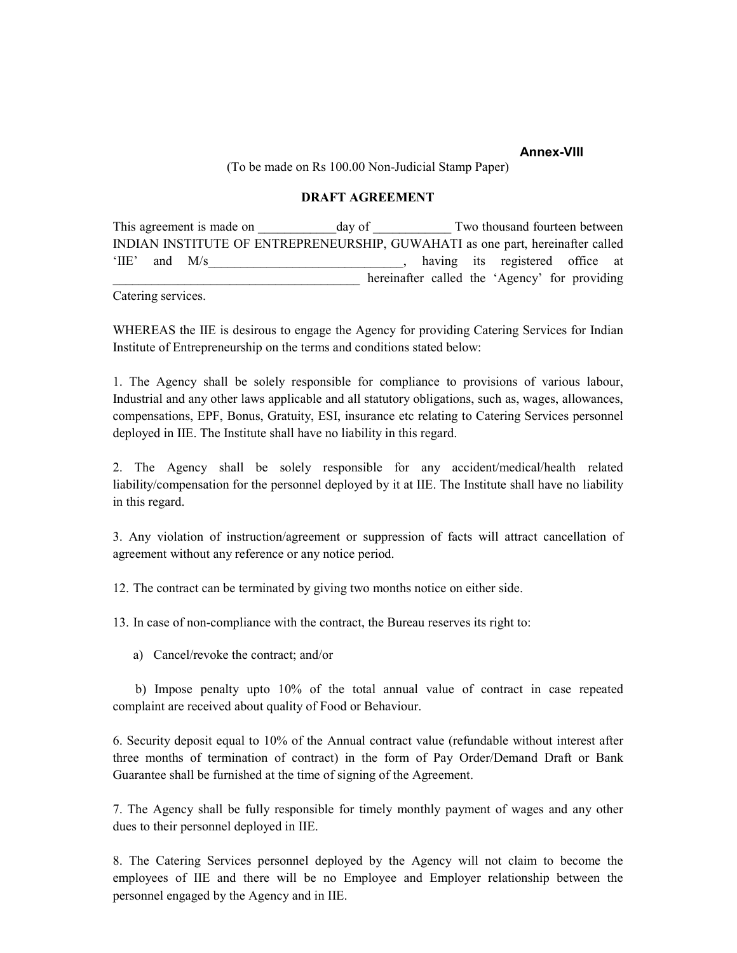### **Annex-VIII**

(To be made on Rs 100.00 Non-Judicial Stamp Paper)

#### **DRAFT AGREEMENT**

This agreement is made on day of Two thousand fourteen between INDIAN INSTITUTE OF ENTREPRENEURSHIP, GUWAHATI as one part, hereinafter called 'IIE' and M/s and M/s and M/s and M/s and M/s and M/s and M/s and  $\frac{1}{2}$  and  $\frac{1}{2}$  and  $\frac{1}{2}$  and  $\frac{1}{2}$  and  $\frac{1}{2}$  and  $\frac{1}{2}$  and  $\frac{1}{2}$  and  $\frac{1}{2}$  and  $\frac{1}{2}$  and  $\frac{1}{2}$  and  $\frac{1}{2}$  and  $\$ hereinafter called the 'Agency' for providing

Catering services.

WHEREAS the IIE is desirous to engage the Agency for providing Catering Services for Indian Institute of Entrepreneurship on the terms and conditions stated below:

1. The Agency shall be solely responsible for compliance to provisions of various labour, Industrial and any other laws applicable and all statutory obligations, such as, wages, allowances, compensations, EPF, Bonus, Gratuity, ESI, insurance etc relating to Catering Services personnel deployed in IIE. The Institute shall have no liability in this regard.

2. The Agency shall be solely responsible for any accident/medical/health related liability/compensation for the personnel deployed by it at IIE. The Institute shall have no liability in this regard.

3. Any violation of instruction/agreement or suppression of facts will attract cancellation of agreement without any reference or any notice period.

12. The contract can be terminated by giving two months notice on either side.

13. In case of non-compliance with the contract, the Bureau reserves its right to:

a) Cancel/revoke the contract; and/or

 b) Impose penalty upto 10% of the total annual value of contract in case repeated complaint are received about quality of Food or Behaviour.

6. Security deposit equal to 10% of the Annual contract value (refundable without interest after three months of termination of contract) in the form of Pay Order/Demand Draft or Bank Guarantee shall be furnished at the time of signing of the Agreement.

7. The Agency shall be fully responsible for timely monthly payment of wages and any other dues to their personnel deployed in IIE.

8. The Catering Services personnel deployed by the Agency will not claim to become the employees of IIE and there will be no Employee and Employer relationship between the personnel engaged by the Agency and in IIE.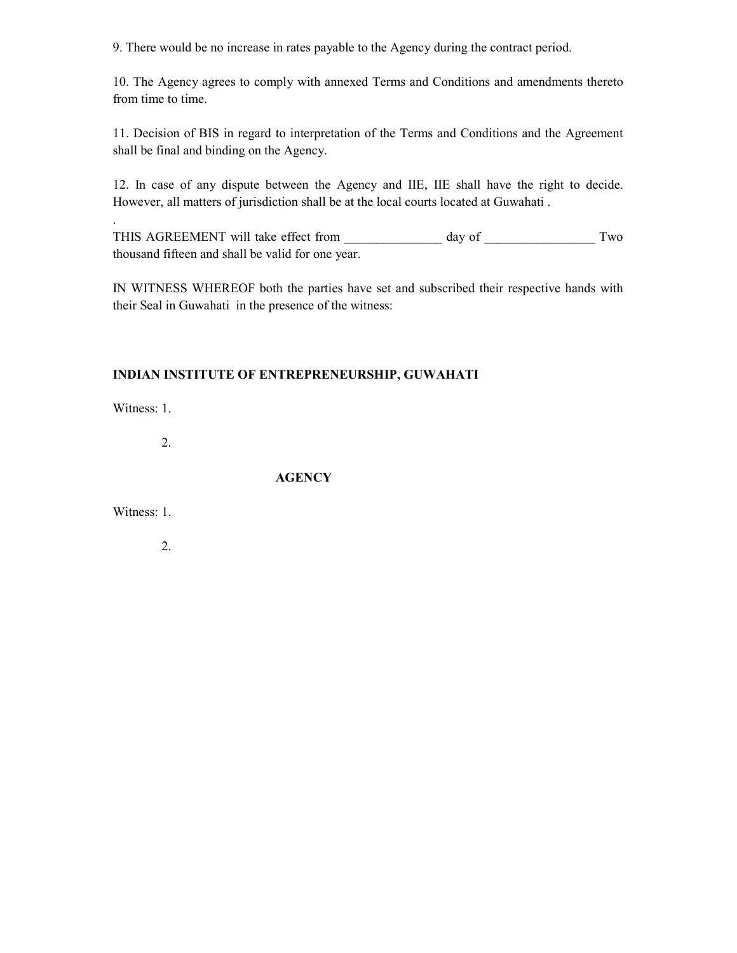9. There would be no increase in rates payable to the Agency during the contract period.

10. The Agency agrees to comply with annexed Terms and Conditions and amendments thereto from time to time.

11. Decision of BIS in regard to interpretation of the Terms and Conditions and the Agreement shall be final and binding on the Agency.

12. In case of any dispute between the Agency and IIE, IIE shall have the right to decide. However, all matters of jurisdiction shall be at the local courts located at Guwahati .

THIS AGREEMENT will take effect from \_\_\_\_\_\_\_\_\_\_\_\_\_\_ day of \_\_\_\_\_\_\_\_\_\_\_\_\_\_\_\_\_\_ Two thousand fifteen and shall be valid for one year.

IN WITNESS WHEREOF both the parties have set and subscribed their respective hands with their Seal in Guwahati in the presence of the witness:

### **INDIAN INSTITUTE OF ENTREPRENEURSHIP, GUWAHATI**

Witness: 1.

.

2.

**AGENCY** 

Witness: 1.

2.